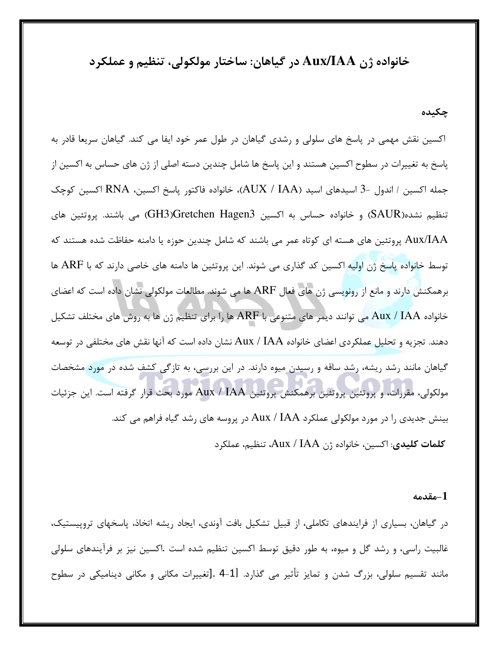خانواده ژن Aux/IAA در گیاهان: ساختار مولکولی، تنظیم و عملکرد

چکیده

اکسین نقش مهمی در پاسخ های سلولی و رشدی گیاهان در طول عمر خود ایفا می کند. گیاهان سریعا قادر به پاسخ به تغییرات در سطوح اکسین هستند و این پاسخ ها شامل چندین دسته اصلی از ژن های حساس به اکسین از جمله اكسين / اندول -3 اسيدهاي اسيد (AUX / IAA)، خانواده فاكتور پاسخ اكسين، RNA اكسين كوچک تنظیم نشده(SAUR) و خانواده حساس به اکسین GH3)Gretchen Hagen3) می باشند. پروتئین های Aux/IAA پروتئین های هسته ای کوتاه عمر می باشند که شامل چندین حوزه یا دامنه حفاظت شده هستند که توسط خانواده پاسخ ژن اولیه اکسین کد گذاری می شوند. این پروتئین ها دامنه های خاصی دارند که با ARF ها برهمکنش دارند و مانع از رونویسی ژن های فعال ARF ها می شوند. مطالعات مولکولی نشان داده است که اعضای خانواده Aux / IAA می توانند دیمر های متنوعی با ARF ها را برای تنظیم ژن ها به روش های مختلف تشکیل دهند. تجزیه و تحلیل عملکردی اعضای خانواده Aux / IAA نشان داده است که آنها نقش های مختلفی در توسعه گیاهان مانند رشد ریشه، رشد ساقه و رسیدن میوه دارند. در این بررسی، به تازگی کشف شده در مورد مشخصات مولکولی، مقررات، و پروتئین پروتئین برهمکنش پروتئین Aux / IAA مورد بحث قرار گرفته است. این جزئیات بینش جدیدی را در مورد مولکولی عملکرد Aux / IAA در پروسه های رشد گیاه فراهم می کند. كلمات كليدي: اكسين، خانواده ژن Aux / IAA، تنظيم، عملكرد

-مقدمه $\textcolor{red}{-1}$ 

در گیاهان، بسیاری از فرایندهای تکاملی، از قبیل تشکیل بافت آوندی، ایجاد ریشه اتخاذ، پاسخهای تروپیستیک، غالبیت راسی، و رشد گل و میوه، به طور دقیق توسط اکسین تنظیم شده است .اکسین نیز بر فرآیندهای سلولی مانند تقسیم سلولی، بزرگ شدن و تمایز تأثیر می گذارد. [1-4 .[تغییرات مکانی و مکانی دینامیکی در سطوح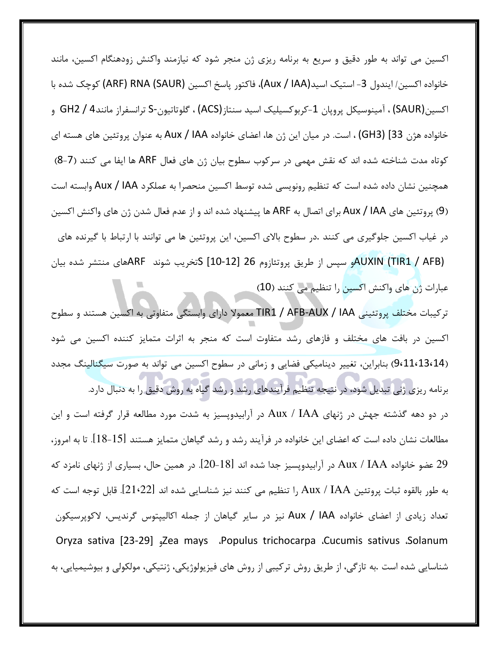اکسین می تواند به طور دقیق و سریع به برنامه ریزی ژن منجر شود که نیازمند واکنش زودهنگام اکسین، مانند خانواده اكسين/ ايندول 3- استيك اسيد(Aux / IAA)، فاكتور ياسخ اكسين (ARF) RNA (SAUR) كوچك شده با اكسين(SAUR) ، آمينوسيكل پروپان 1-كربوكسيليک اسيد سنتاز(ACS) ، گلوتاتيون-S ترانسفراز مانند4 / GH2 و خانواده هژن 33] (GH3) ، است. در میان این ژن ها، اعضای خانواده Aux / IAA به عنوان پروتئین های هسته ای كوتاه مدت شناخته شده اند كه نقش مهمي در سركوب سطوح بيان ژن هاي فعال ARF ها ايفا مي كنند (7−8) همچنین نشان داده شده است که تنظیم رونویسی شده توسط اکسین منحصرا به عملکرد Aux / IAA وابسته است (9) پروتئین های Aux / IAA برای اتصال به ARF ها پیشنهاد شده اند و از عدم فعال شدن ژن های واکنش اکسین در غیاب اکسین جلوگیری می کنند .در سطوح بالای اکسین، این پروتئین ها می توانند با ارتباط با گیرنده های AUXIN (TIR1 / AFB)و سپس از طریق پروتئازوم 26 [10-12] Sتخریب شوند ARFهای منتشر شده بیان عبارات ژن های واکنش اکسین را تنظیم می کنند (10)

تركيبات مختلف پروتئيني TIR1 / AFB-AUX / IAA معمولاً داراي وابستگي متفاوتي به اكسين هستند و سطوح اکسین در بافت های مختلف و فازهای رشد متفاوت است که منجر به اثرات متمایز کننده اکسین می شود (9،11،13،14) بنابراین، تغییر دینامیکی فضایی و زمانی در سطوح اکسین می تواند به صورت سیگنالینگ مجدد

برنامه ریزی ژنی تبدیل شود، در نتیجه تنظیم فرآیندهای رشد و رشد گیاه به روش دقیق را به دنبال دارد. در دو دهه گذشته جهش در ژنهای Aux / IAA در آرابیدوپسیز به شدت مورد مطالعه قرار گرفته است و این مطالعات نشان داده است که اعضای این خانواده در فرآیند رشد و رشد گیاهان متمایز هستند [15-18]. تا به امروز، 29 عضو خانواده Aux / IAA در آرابیدوپسیز جدا شده اند [18-20]. در همین حال، بسیاری از ژنهای نامزد که به طور بالقوه ثبات پروتئين Aux / IAA را تنظيم مي كنند نيز شناسايي شده اند [22•21]. قابل توجه است كه تعداد زیادی از اعضای خانواده Aux / IAA نیز در سایر گیاهان از جمله اکالیپتوس گرندیس، لاکوپرسیکون Oryza sativa [23-29] <sub>9</sub>Zea mays .Populus trichocarpa .Cucumis sativus .Solanum شناسایی شده است .به تازگی، از طریق روش ترکیبی از روش های فیزیولوژیکی، ژنتیکی، مولکولی و بیوشیمیایی، به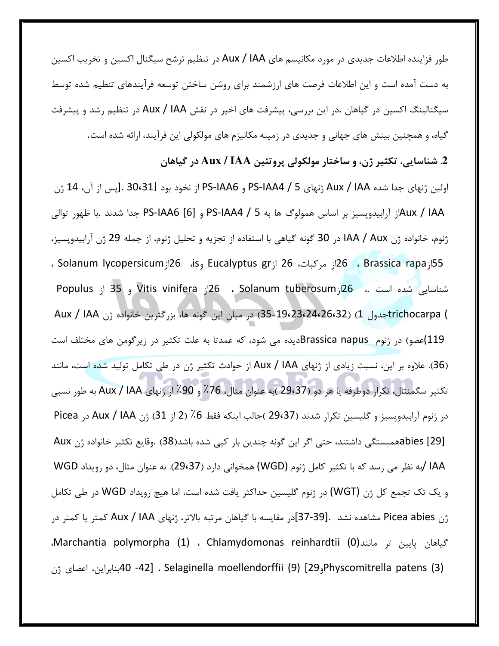طور فزاینده اطلاعات جدیدی در مورد مکانیسم های Aux / IAA در تنظیم ترشح سیگنال اکسین و تخریب اکسین به دست آمده است و این اطلاعات فرصت های ارزشمند برای روشن ساختن توسعه فرآیندهای تنظیم شده توسط سیگنالینگ اکسین در گیاهان .در این بررسی، پیشرفت های اخیر در نقش Aux / IAA در تنظیم رشد و پیشرفت گیاه، و همچنین بینش های جهانی و جدیدی در زمینه مکانیزم های مولکولی این فرآیند، ارائه شده است.

2. شناسايي، تكثير ژن، و ساختار مولكولي پروتئين Aux / IAA در گياهان

اولین ژنهای جدا شده Aux / IAA ژنهای PS-IAA4 / 5 و PS-IAA6 از نخود بود [30،31 .[پس از آن، 14 ژن Aux / IAAز آرابیدوپسیز بر اساس همولوگ ها به PS-IAA4 / 5 و PS-IAA6 [6] جدا شدند .با ظهور توالی ژنوم، خانواده ژن IAA / Aux در 30 گونه گیاهی با استفاده از تجزیه و تحلیل ژنوم، از جمله 29 ژن آرابیدوپسیز، . Solanum lycopersicum (16 (15 و Eucalyptus gr إز Solanum lycopersicum ) 26 . Solanum N شناسایی شده است .، 26ار Solanum tuberosum ، 26ار Vitis vinifera و 35 از Populus ) trichocarpaشول 1) (26،24،26،24،2642) در ميان اين گونه ها، بزرگترين خانواده ژن Aux / IAA 119)عضو) در ژنوم Brassica napusدیده می شود، که عمدتا به علت تکثیر در زیرگومن های مختلف است (36). علاوه بر این، نسبت زیادی از ژنهای Aux / IAA از حوادث تکثیر ژن در طی تکامل تولید شده است، مانند تكثير سگمنتال، تكرار دوطرفه يا هر دو (29،37 )به عنوان مثال، 76٪ و 90٪ از ژنهاي Aux / IAA به طور نسبي در ژنوم آرابیدوپسیز و گلیسین تکرار شدند (29،37 )جالب اینکه فقط 6٪ (2 از 31) ژن Aux / IAA در Picea abies [29]معمبستگی داشتند، حتی اگر این گونه چندین بار کپی شده باشد(38) .وقایع تکثیر خانواده ژن Aux IAA /به نظر می رسد که با تکثیر کامل ژنوم (WGD) همخوانی دارد (29،37). به عنوان مثال، دو رویداد WGD و یک تک تجمع کل ژن (WGT) در ژنوم گلیسین حداکثر یافت شده است، اما هیچ رویداد WGD در طی تکامل ژن Picea abies مشاهده نشد .[37-39]در مقايسه با گياهان مرتبه بالاتر، ژنهاي Aux / IAA كمتر يا كمتر در Marchantia polymorpha (1) ، Chlamydomonas reinhardtii (0) ، مانند (1، Marchantia polymorpha Physcomitrella patens (3) [29, 40-42] ، Selaginella moellendorffii (9) بنابراين، اعضاى ژن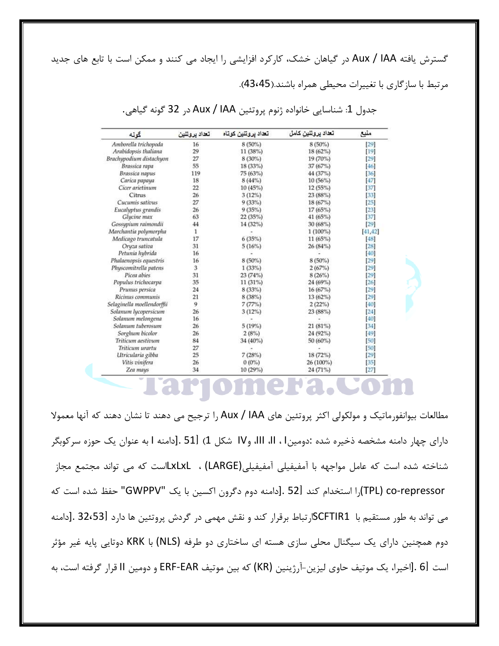گسترش یافته Aux / IAA در گیاهان خشک، کارکرد افزایشی را ایجاد می کنند و ممکن است با تابع های جدید مرتبط با سازگاری با تغییرات محیطی همراه باشند.(43،45).

| گونه                       | تعداد يروتنين | تعداد پروتنین کوتا <mark>ہ</mark> | تعداد يروتنين كامل | منبع   |
|----------------------------|---------------|-----------------------------------|--------------------|--------|
| Amborella trichopoda       | 16            | 8 (50%)                           | $8(50\%)$          | [29]   |
| Arabidopsis thaliana       | 29            | 11(38%)                           | 18 (62%)           | $[19]$ |
| Brachypodium distachyon    | 27            | 8 (30%)                           | 19 (70%)           | [29]   |
| Brassica rapa              | 55            | 18 (33%)                          | 37 (67%)           | 46]    |
| Brassica napus             | 119           | 75 (63%)                          | 44 (37%)           | 36     |
| Carica papaya              | 18            | $8(44\%)$                         | 10(56%)            | 47     |
| Cicer arietinum            | 22            | 10 (45%)                          | 12 (55%)           | [37]   |
| Citrus                     | 26            | $3(12\%)$                         | 23 (88%)           | 33     |
| Cucumis sativus            | 27            | 9(33%)                            | 18 (67%)           | 25     |
| Eucalyptus grandis         | 26            | 9(35%)                            | 17(65%)            | $[23]$ |
| Glycine max                | 63            | 22(35%)                           | 41 (65%)           | $[37]$ |
| Gossypium raimondii        | 44            | 14 (32%)                          | 30 (68%)           | [29]   |
| Marchantia polymorpha      | 1             |                                   | $1(100\%)$         | 41,42  |
| Medicago truncatula        | 17            | 6(35%)                            | 11 (65%)           | 48     |
| Oryza sativa               | 31            | 5(16%)                            | 26 (84%)           | [28]   |
| Petunia hybrida            | 16            |                                   |                    | [40]   |
| Phalaenopsis equestris     | 16            | 8 (50%)                           | $8(50\%)$          | [29]   |
| Physcomitrella patens      | 3             | 1(33%)                            | 2(67%)             | [29]   |
| Picea abies                | 31            | 23(74%)                           | 8(26%)             | [29]   |
| Populus trichocarpa        | 35            | 11(31%)                           | 24 (69%)           | [26]   |
| Prunus persica             | 24            | 8 (33%)                           | 16 (67%)           | [29]   |
| Ricinus communis           | 21            | 8 (38%)                           | 13 (62%)           | [29]   |
| Selaginella moellendorffii | 9             | 7(77%)                            | 2(22%)             | 40     |
| Solanum lycopersicum       | 26            | 3(12%)                            | 23 (88%)           | [24]   |
| Solanum melongena          | 16            |                                   |                    | 40     |
| Solanum tuberosum          | 26            | 5(19%)                            | 21 (81%)           | 34     |
| Sorghum bicolor            | 26            | 2(8%)                             | 24 (92%)           | 49     |
| Triticum aestivum          | 84            | 34 (40%)                          | 50 (60%)           | 50     |
| Triticum urartu            | 27            |                                   |                    | [50]   |
| Utricularia gibba          | 25            | 7(28%)                            | 18 (72%)           | $[29]$ |
| Vitis vinifera             | 26            | $0(0\%)$                          | 26 (100%)          | 35     |
| Zea mays                   | 34            | 10 (29%)                          | 24 (71%)           | $[27]$ |

جدول 1: شناسايي خانواده ژنوم پروتئين Aux / IAA در 32 گونه گياهي.

مطالعات بیوانفورماتیک و مولکولی اکثر پروتئین های Aux / IAA را ترجیح می دهند تا نشان دهند که آنها معمولا دارای چهار دامنه مشخصه ذخیره شده :دومین۱ ، II، III، و۱۷ شکل 1) [51 .[دامنه I به عنوان یک حوزه سرکوبگر شناخته شده است که عامل مواجهه با آمفیفیلی آمفیفیلی(LARGE) ، kxLxLاست که می تواند مجتمع مجاز TPL) co-repressor()را استخدام كند [52 .[دامنه دوم دگرون اكسين با يک "GWPPV" حفظ شده است كه می تواند به طور مستقیم با SCFTIR1ارتباط برقرار کند و نقش مهمی در گردش پروتئین ها دارد 32،53]. [دامنه دوم همچنین دارای یک سیگنال محلی سازی هسته ای ساختاری دو طرفه (NLS) با KRK دوتایی پایه غیر مؤثر است [6 .[اخیرا، یک موتیف حاوی لیزین−آرژینین (KR) که بین موتیف ERF-EAR و دومین II قرار گرفته است، به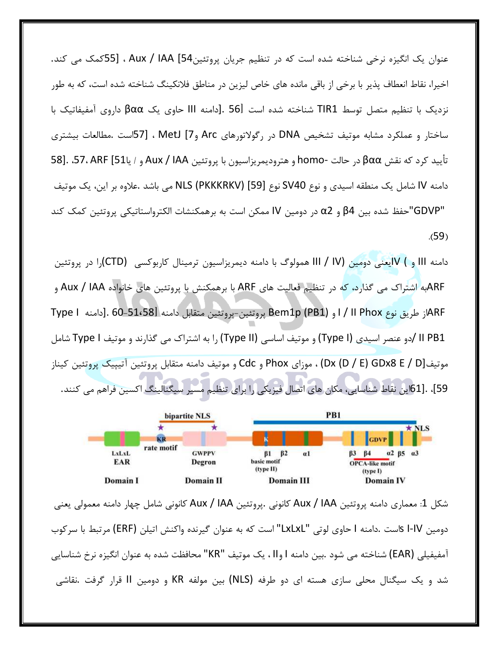عنوان یک انگیزه نرخی شناخته شده است که در تنظیم جریان پروتئین54] Aux / IAA ، [55کمک می کند. اخیرا، نقاط انعطاف پذیر با برخی از باقی مانده های خاص لیزین در مناطق فلانکینگ شناخته شده است، که به طور نزدیک با تنظیم متصل توسط TIR1 شناخته شده است 56l .[دامنه III حاوی یک βαα داروی آمفیفاتیک با ساختار و عملکرد مشابه موتیف تشخیص DNA در رگولاتورهای Arc و WetJ [7، [57] ، [57ست .مطالعات بیشتری تأييد كرد كه نقش βαα در حالت -homo و هتروديمريزاسيون با پروتئين Aux / IAA و / يا57، ARF [51، .57، ARF دامنه IV شامل یک منطقه اسیدی و نوع SV40 نوع [59] NLS (PKKKRKV) می باشد .علاوه بر این، یک موتیف "GDVP"حفظ شده بين β4 و α2 در دومين IV ممكن است به برهمكنشات الكترواستاتيكي پروتئين كمك كند  $(59)$ 

دامنه III و ) Vایعنی دومین III / IV همولوگ با دامنه دیمریزاسیون ترمینال کاربوکسی (CTD)را در پروتئین ARFبه اشتراک می گذارد، که در تنظیم فعالیت های ARF با برهمکنش با پروتئین های خانواده Aux / IAA و ARF|ز طريق نوع I / II Phox|د و Bem1p (PB1) پروتئين-پروتئين متقابل دامنه G0-51،58l.[دامنه Type I II PB1 /دو عنصر اسیدی (Type I) و موتیف اساسی (Type II) را به اشتراک می گذارند و موتیف Type I شامل موتيفي Dx (D / E) GDx8 E / D) ، موزاي Phox و Cdc و موتيف دامنه متقابل پروتئين آتيپيک پروتئين کيناز 59]، .[61]ین نقاط شناسایی، مکان های اتصال فیزیکی را برای تنظیم مسیر سیگنالینگ اکسین فراهم می کنند.



شكل 1: معماري دامنه پروتئين Aux / IAA كانوني .پروتئين Aux / IAA كانوني شامل چهار دامنه معمولي يعني دومین I-IV Sاست .دامنه I حاوی لوتی "LxLxL" است که به عنوان گیرنده واکنش اتیلن (ERF) مرتبط با سرکوب آمفيفيلي (EAR) شناخته مي شود .بين دامنه I وII ، يک موتيف "KR" محافظت شده به عنوان انگيزه نرخ شناسايي شد و یک سیگنال محلی سازی هسته ای دو طرفه (NLS) بین مولفه KR و دومین II قرار گرفت .نقاشی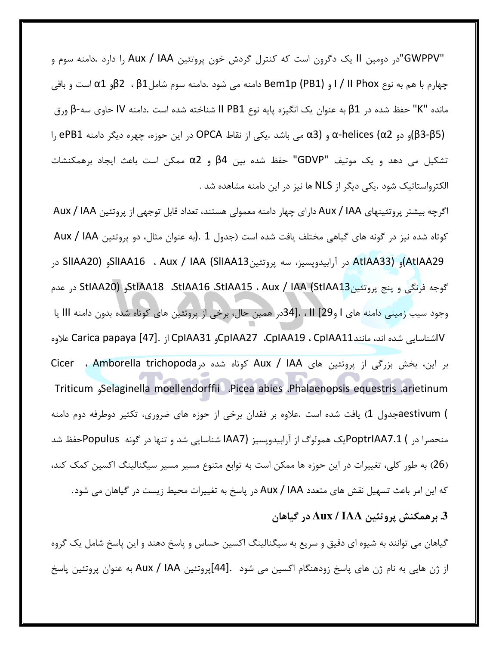"GWPPV"در دومین II یک دگرون است که کنترل گردش خون پروتئین Aux / IAA را دارد .دامنه سوم و چهارم با هم به نوع I / II Phox و Bem1p (PB1 دامنه می شود .دامنه سوم شاملβ1 ، β1و α1 است و باقی مانده "K" حفظ شده در β1 به عنوان یک انگیزه پایه نوع II PB1 شناخته شده است .دامنه IV حاوی سه-β ورق (β3-β5)و دو α3) α-helices و α3) می باشد .یکی از نقاط OPCA در این حوزه، چهره دیگر دامنه ePB1 را تشكيل مي دهد و يك موتيف "GDVP" حفظ شده بين β4 و α2 ممكن است باعث ايجاد برهمكنشات الكترواستاتيك شود .يكي ديگر از NLS ها نيز در اين دامنه مشاهده شد .

اگرچه بیشتر پروتئینهای Aux / IAA دارای چهار دامنه معمولی هستند، تعداد قابل توجهی از پروتئین Aux / IAA كوتاه شده نيز در گونه هاي گياهي مختلف يافت شده است (جدول 1 .(به عنوان مثال، دو پروتئين Aux / IAA AtlAA29)و (AtlAA33 در آرابیدوپسیز، سه پروتئینSIIAA16 ، Aux / IAA (SIIAA13)و (SIIAA20 در گوجه فرنگی و پنج پروتئین1AA (StIAA18 .StIAA16 .StIAA15 ، Aux / IAA (StIAA13 در عدم وجود سيب زميني دامنه هاي I و29] II ، .[34در همين حال، برخي از پروتئين هاي كوتاه شده بدون دامنه III يا Vاشناسایی شده اند، مانندCpIAA11 ، CpIAA19 ، CpIAA11 از Carica papaya [47]. باشناسایی شده اند، مانند بر این، بخش بزرگی از پروتئین های Aux / IAA کوتاه شده در Amborella trichopoda ، Cicer Triticum Selaginella moellendorffii Picea abies Phalaenopsis equestris arietinum ) aestivumش بافت شده است .علاوه بر فقدان برخی از حوزه های ضروری، تکثیر دوطرفه دوم دامنه منحصرا در ) PoptrIAA7.1بک همولوگ از آرابیدوپسیز (IAA7 شناسایی شد و تنها در گونه Populusحفظ شد (26) به طور کلی، تغییرات در این حوزه ها ممکن است به توابع متنوع مسیر مسیر سیگنالینگ اکسین کمک کند، که این امر باعث تسهیل نقش های متعدد Aux / IAA در پاسخ به تغییرات محیط زیست در گیاهان می شود. 3. برهمكنش پروتئين Aux / IAA در گياهان

گیاهان می توانند به شیوه ای دقیق و سریع به سیگنالینگ اکسین حساس و پاسخ دهند و این پاسخ شامل یک گروه از ژن هایی به نام ژن های پاسخ زودهنگام اکسین می شود .[44]پروتئین Aux / IAA به عنوان پروتئین پاسخ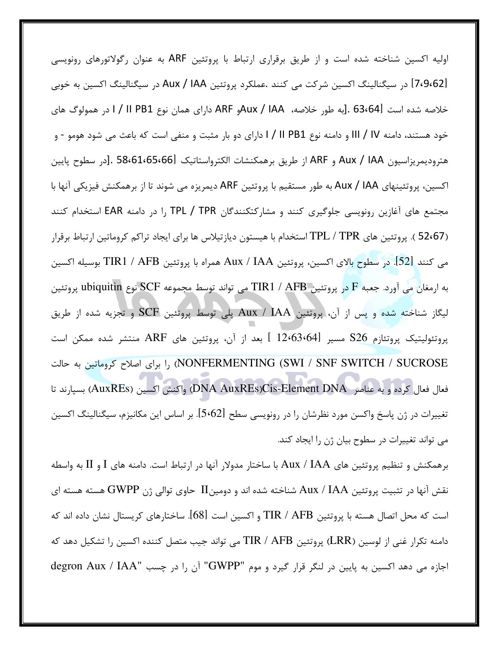اولیه اکسین شناخته شده است و از طریق برقراری ارتباط با پروتئین ARF به عنوان رگولاتورهای رونویسی [7،9،62] در سیگنالینگ اکسین شرکت می کنند .عملکرد پروتئین Aux / IAA در سیگنالینگ اکسین به خوبی خلاصه شده است G3،641 .[به طور خلاصه، AUX / IAAو ARFك داراي همان نوع I / II PB1 اور همولوگ هاي خود هستند، دامنه III / IV و دامنه نوع I / II PB1 دارای دو بار مثبت و منفی است که باعث می شود هومو - و هتروديمريزاسيون Aux / IAA و ARF از طريق برهمكنشات الكترواستاتيك 58،61،65،66] .[در سطوح پايين اکسین، پروتئینهای Aux / IAA به طور مستقیم با پروتئین ARF دیمریزه می شوند تا از برهمکنش فیزیکی آنها با مجتمع های آغازین رونویسی جلوگیری کنند و مشارکتکنندگان TPL / TPR را در دامنه EAR استخدام کنند (52،67 ). پروتئین های TPL / TPR استخدام با هیستون دیازتیلاس ها برای ایجاد تراکم کروماتین ارتباط برقرار مي كنند [52]. در سطوح بالاي اكسين، پروتئين Aux / IAA همراه با پروتئين TIR1 / AFB بوسيله اكسين به ارمغان می آورد. جعبه F در پروتئین TIR1 / AFB می تواند توسط مجموعه SCF نوع ubiquitin پروتئین لیگاز شناخته شده و پس از آن، پروتئین Aux / IAA پلی توسط پروتئین SCF و تجزیه شده از طریق پروتئولیتیک پروتئازم S26 مسیر [12،63،64 ] بعد از آن، پروتئین های ARF منتشر شده ممکن است NONFERMENTING (SWI / SNF SWITCH / SUCROSE) را برای اصلاح کروماتین به حالت فعال فعال كرده و به عناصر DNA AuxREs)Cis-Element DNA واكنش اكسين (AuxREs) بسيارند تا تغییرات در ژن پاسخ واکسن مورد نظرشان را در رونویسی سطح [5،62]. بر اساس این مکانیزم، سیگنالینگ اکسین می تواند تغییرات در سطوح بیان ژن را ایجاد کند.

برهمکنش و تنظیم پروتئین های Aux / IAA با ساختار مدولار آنها در ارتباط است. دامنه های I و II به واسطه نقش آنها در تثبیت پروتئین Aux / IAA شناخته شده اند و دومینII حاوی توالی ژن GWPP هسته هسته ای است که محل اتصال هسته با پروتئین TIR / AFB و اکسین است [68]. ساختارهای کریستال نشان داده اند که دامنه تكرار غني از لوسين (LRR) پروتئين TIR / AFB مي تواند جيب متصل كننده اكسين را تشكيل دهد كه اجازه می دهد اکسین به پایین در لنگر قرار گیرد و موم "GWPP" آن را در چسب "degron Aux / IAA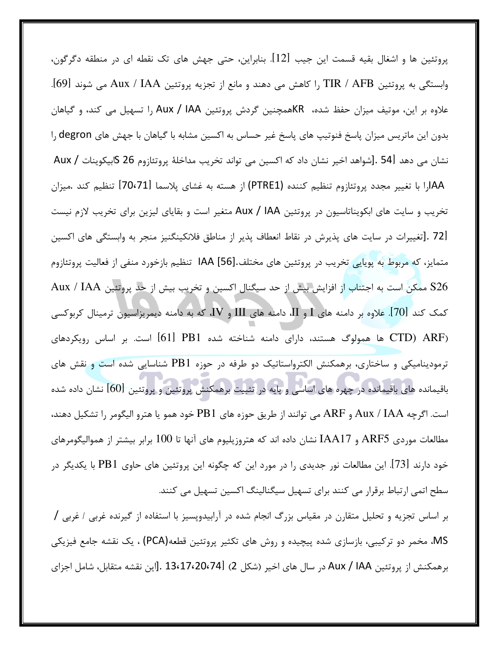پروتئین ها و اشغال بقیه قسمت این جیب [12]. بنابراین، حتی جهش های تک نقطه ای در منطقه دگرگون، وابستگی به پروتئین TIR / AFB را کاهش می دهند و مانع از تجزیه پروتئین Aux / IAA می شوند [69]. علاوه بر این، موتیف میزان حفظ شده، KRهمچنین گردش پروتئین Aux / IAA را تسهیل می کند، و گیاهان بدون این ماتریس میزان پاسخ فنوتیپ های پاسخ غیر حساس به اکسین مشابه با گیاهان با جهش های degron را نشان می دهد [54 .[شواهد اخیر نشان داد که اکسین می تواند تخریب مداخلهٔ پروتئازوم 26 \$ابیکوینات / Aux AAارا با تغيير مجدد پروتئازوم تنظيم كننده (PTRE1) از هسته به غشاي پلاسما [70،71] تنظيم كند .ميزان تخریب و سایت های ابکویناتاسیون در پروتئین Aux / IAA متغیر است و بقایای لیزین برای تخریب لازم نیست [72 .[تغييرات در سايت هاي پذيرش در نقاط انعطاف پذير از مناطق فلانكينگنيز منجر به وابستگي هاي اكسين متمايز، كه مربوط به پويايي تخريب در پروتئين هاي مختلف.[56] IAA تنظيم بازخورد منفي از فعاليت پروتئازوم S26 ممكن است به اجتناب از افزايش بيش از حد سيگنال اكسين و تخريب بيش از حد پروتئين Aux / IAA کمک کند [70]. علاوه بر دامنه های  $\rm{I}$  و  $\rm{I}$ ، دامنه های  $\rm{III}$  و  $\rm{V}$ ، که به دامنه دیمریزاسیون ترمینال کربوکسی (CTD) ARF ها همولوگ هستند، دارای دامنه شناخته شده PB1 [61] است. بر اساس رویکردهای ترمودینامیکی و ساختاری، برهمکنش الکترواستاتیک دو طرفه در حوزه PB1 شناسایی شده است و نقش های باقیمانده های باقیمانده در چهره های اساسی و پایه در تثبیت برهمکنش پروتئین و پروتئین [60] نشان داده شده است. اگرچه Aux / IAA و ARF مي توانند از طريق حوزه هاي PB1 خود همو يا هترو اليگومر را تشكيل دهند، مطالعات موردی ARF5 و IAA17 نشان داده اند که هتروزیلیوم های آنها تا 100 برابر بیشتر از هموالیگومرهای خود دارند [73]. این مطالعات نور جدیدی را در مورد این که چگونه این پروتئین های حاوی PB1 با یکدیگر در سطح اتمی ارتباط برقرار می کنند برای تسهیل سیگنالینگ اکسین تسهیل می کنند.

بر اساس تجزیه و تحلیل متقارن در مقیاس بزرگ انجام شده در آرابیدوپسیز با استفاده از گیرنده غربی / غربی / MS، مخمر دو ترکیبی، بازسازی شده پیچیده و روش های تکثیر پروتئین قطعه(PCA) ، یک نقشه جامع فیزیکی برهمكنش از پروتئين Aux / IAA در سال هاي اخير (شكل 2) [13،17،20،74. [اين نقشه متقابل، شامل اجزاي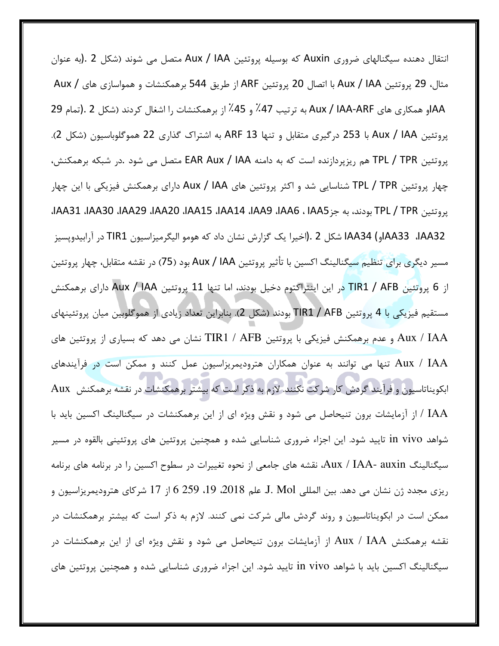انتقال دهنده سیگنالهای ضروری Auxin که بوسیله پروتئین Aux / IAA متصل می شوند (شکل 2 .(به عنوان مثال، 29 پروتئين Aux / IAA با اتصال 20 پروتئين ARF از طريق 544 برهمكنشات و همواسازي هاي / Aux AAاو همكاري هاي Aux / IAA-ARF به ترتيب 47٪ و 45٪ از برهمكنشات را اشغال كردند (شكل 2 .(تمام 29 پروتئین Aux / IAA با 253 درگیری متقابل و تنها ARF 13 به اشتراک گذاری 22 هموگلوباسیون (شکل 2). پروتئین TPL / TPR هم ریزپردازنده است که به دامنه EAR Aux / IAA متصل می شود .در شبکه برهمکنش، چهار پروتئین TPL / TPR شناسایی شد و اکثر پروتئین های Aux / IAA دارای برهمکنش فیزیکی با این چهار يروتئين TPL / TPR بودند، به جز IAA5، IAA8، IAA8، IAA3، IAA3، IAA3، IAA3، IAA3، IAA3، IAA3، IAA3، IAA33 ، IAA33، JAA33 شكل 2 .(اخيرا يک گزارش نشان داد که هومو اليگرميزاسيون TIR1 در آرابيدوپسيز مسیر دیگری برای تنظیم سیگنالینگ اکسین با تأثیر پروتئین Aux / IAA بود (75) در نقشه متقابل، چهار پروتئین از 6 پروتئين TIR1 / AFB در اين اينتراكتوم دخيل بودند، اما تنها 11 پروتئين Aux / IAA داراي برهمكنش مستقيم فيزيكي با 4 پروتئين TIR1 / AFB بودند (شكل 2). بنابراين تعداد زيادي از هموگلوبين ميان پروتئينهاي Aux / IAA و عدم برهمکنش فیزیکی با پروتئین TIR1 / AFB نشان می دهد که بسیاری از پروتئین های Aux / IAA تنها می توانند به عنوان همکاران هترودیمریزاسیون عمل کنند و ممکن است در فرآیندهای ابکویناتاسیون و فرآیند گردش کار شرکت نکنند. لازم به ذکر است که بیشتر برهمکنشات در نقشه برهمکنش Aux IAA / از آزمایشات برون تنیحاصل می شود و نقش ویژه ای از این برهمکنشات در سیگنالینگ اکسین باید با شواهد in vivo تایید شود. این اجزاء ضروری شناسایی شده و همچنین پروتئین های پروتئینی بالقوه در مسیر سیگنالینگ Aux / IAA- auxin، نقشه های جامعی از نحوه تغییرات در سطوح اکسین را در برنامه های برنامه ريزي مجدد ژن نشان مي دهد. بين المللي J. Mol. علم 2018، 19، 259 6 از 17 شركاي هتروديمريزاسيون و ممکن است در ابکویناتاسیون و روند گردش مالی شرکت نمی کنند. لازم به ذکر است که بیشتر برهمکنشات در نقشه برهمکنش Aux / IAA از آزمایشات برون تنیحاصل می شود و نقش ویژه ای از این برهمکنشات در سیگنالینگ اکسین باید با شواهد in vivo تایید شود. این اجزاء ضروری شناسایی شده و همچنین پروتئین های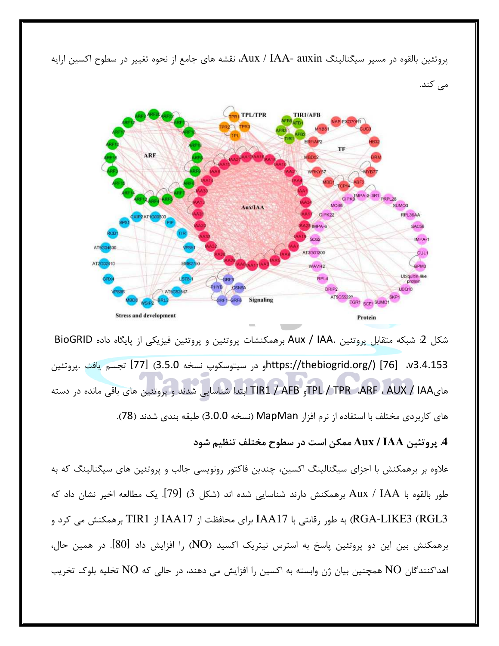

یروتئین بالقوه در مسیر سیگنالینگ Aux / IAA- auxin، نقشه های جامع از نحوه تغییر در سطوح اکسین ارایه

شكل 2: شبكه متقابل پروتئين .Aux / IAA برهمكنشات پروتئين و پروتئين فيزيكي از پايگاه داده BioGRID v3.4.153، https://thebiogrid.org/) [76] و در سيتوسكوپ نسخه 3.5.0) [77] تجسم يافت .پروتئين های TPL / TPR ،ARF ، AUX / IAA و TIR1 / AFB ابتدا شناسایی شدند و پروتئین های باقی مانده در دسته های کاربردی مختلف با استفاده از نرم افزار MapMan (نسخه 3.0.0) طبقه بندی شدند (78).

## 4. پروتئين Aux / IAA ممكن است در سطوح مختلف تنظيم شود

علاوه بر برهمکنش با اجزای سیگنالینگ اکسین، چندین فاکتور رونویسی جالب و پروتئین های سیگنالینگ که به طور بالقوه با Aux / IAA برهمكنش دارند شناسايي شده اند (شكل 3) [79]. يک مطالعه اخير نشان داد که RGA-LIKE3 (RGL3) به طور رقابتی با IAA17 برای محافظت از IAA17 از TIR1 برهمکنش می کرد و برهمکنش بین این دو پروتئین پاسخ به استرس نیتریک اکسید (NO) را افزایش داد [80]. در همین حال، اهداکنندگان NO همچنین بیان ژن وابسته به اکسین را افزایش می دهند، در حالی که NO تخلیه بلوک تخریب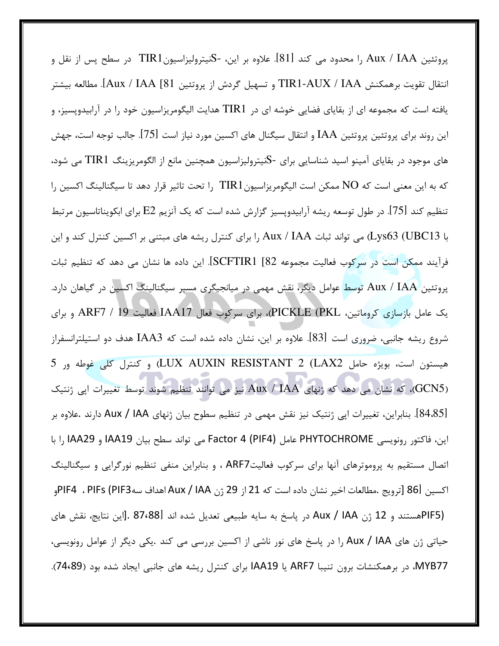پروتئین Aux / IAA را محدود می کند [81]. علاوه بر این، -SنیترولیزاسیونTIR1 در سطح پس از نقل و انتقال تقويت برهمكنش TIR1-AUX / IAA و تسهيل گردش از پروتئين Aux / IAA [81]. مطالعه بيشتر یافته است که مجموعه ای از بقایای فضایی خوشه ای در TIR1 هدایت الیگومریزاسیون خود را در آرابیدوپسیز، و این روند برای پروتئین پروتئین IAA و انتقال سیگنال های اکسین مورد نیاز است [75]. جالب توجه است، جهش های موجود در بقایای آمینو اسید شناسایی برای -Sنیترولیزاسیون همچنین مانع از الگومریزینگ TIR1 می شود، که به این معنی است که NO ممکن است الیگومریزاسیونTIR1 را تحت تاثیر قرار دهد تا سیگنالینگ اکسین را تنظیم کند [75]. در طول توسعه ریشه آرابیدوپسیز گزارش شده است که یک آنزیم E2 برای ابکویناتاسیون مرتبط با Lys63 (UBC13) می تواند ثبات Aux / IAA را برای کنترل ریشه های مبتنی بر اکسین کنترل کند و این فرآیند ممکن است در سرکوب فعالیت مجموعه SCFTIR1 [82]. این داده ها نشان می دهد که تنظیم ثبات پروتئین Aux / IAA توسط عوامل دیگر، نقش مهمی در میانجیگری مسیر سیگنالینگ اکسین در گیاهان دارد. یک عامل بازسازی کروماتین، PICKLE (PKL)، برای سرکوب فعال IAA17 فعالیت 19 / ARF7 و برای شروع ریشه جانبی، ضروری است [83]. علاوه بر این، نشان داده شده است که IAA3 هدف دو استیلترانسفراز هيستون است، بويژه حامل LUX AUXIN RESISTANT 2 (LAX2) و كنترل كلي غوطه ور 5 (GCN5)، که نشان می دهد که ژنهای Aux / IAA نیز می توانند تنظیم شوند توسط تغییرات اپی ژنتیک [84.85]. بنابراین، تغییرات اپی ژنتیک نیز نقش مهمی در تنظیم سطوح بیان ژنهای Aux / IAA دارند .علاوه بر اين، فاكتور رونويسي PHYTOCHROME عامل Factor 4 (PIF4) مي تواند سطح بيان IAA19 و IAA29 را با اتصال مستقیم به پروموترهای آنها برای سرکوب فعالیتARF7 ، و بنابراین منفی تنظیم نورگرایی و سیگنالینگ اكسين 86|[ترويج .مطالعات اخير نشان داده است كه 21 از 29 ژن Aux / IAA|هداف سهPIF4 ، PIFs (PIF3م PIF5)هستند و 12 ژن Aux / IAA در پاسخ به سایه طبیعی تعدیل شده اند B7،88].[این نتایج، نقش های حیاتی ژن های Aux / IAA را در پاسخ های نور ناشی از اکسین بررسی می کند .یکی دیگر از عوامل رونویسی، MYB77، در برهمکنشات برون تنیبا ARF7 یا IAA19 برای کنترل ریشه های جانبی ایجاد شده بود (74،89).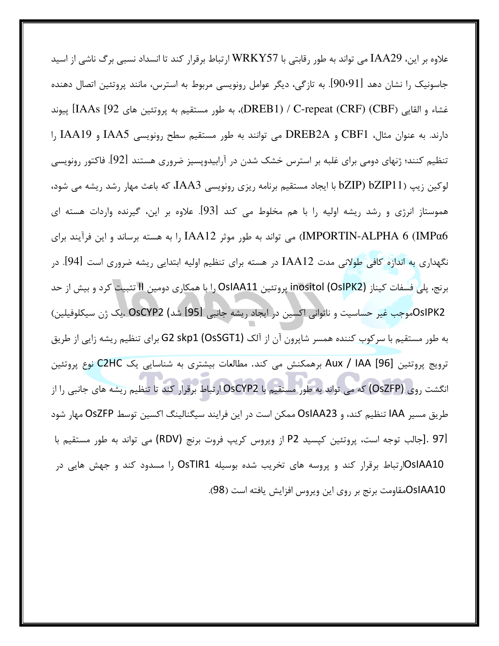علاوه بر این، IAA29 می تواند به طور رقابتی با WRKY57 ارتباط برقرار کند تا انسداد نسبی برگ ناشی از اسید جاسونیک را نشان دهد [90،91]. به تازگی، دیگر عوامل رونویسی مربوط به استرس، مانند پروتئین اتصال دهنده غشاء و القايي (DREB1) / C-repeat (CRF) (CBF)، به طور مستقيم به پروتئين هاي IAAs [92] پيوند دارند. به عنوان مثال، CBF1 و DREB2A می توانند به طور مستقیم سطح رونویسی IAA5 و IAA19 را تنظیم کنند؛ ژنهای دومی برای غلبه بر استرس خشک شدن در آرابیدوپسیز ضروری هستند [92]. فاکتور رونویسی لوكين زيپ (bZIP11 bZIP1 با ايجاد مستقيم برنامه ريزي رونويسي IAA3، كه باعث مهار رشد ريشه مي شود، هموستاز انرژی و رشد ریشه اولیه را با هم مخلوط می کند [93]. علاوه بر این، گیرنده واردات هسته ای IMPORTIN-ALPHA 6 (IMPα6) می تواند به طور موثر IAA12 را به هسته برساند و این فرآیند برای نگهداری به اندازه کافی طولانی مدت IAA12 در هسته برای تنظیم اولیه ابتدایی ریشه ضروری است [94]. در برنج، پلی فسفات کیناز inositol (OsIPK2) پروتئین OsIAA11 را با همکاری دومین II تثبیت کرد و بیش از حد OsIPK2موجب غير حساسيت و ناتواني اكسين در ايجاد ريشه جانبي DSCYP2 (شد) منذ الله عن ژن سيكلوفيلين) به طور مستقیم با سرکوب کننده همسر شاپرون آن از آلک G2 skp1 (OsSGT1) برای تنظیم ریشه زایی از طریق ترويج پروتئين Aux / IAA [96] برهمكنش مي كند. مطالعات بيشتري به شناسايي يک C2HC نوع پروتئين انگشت روی (OsZFP) که می تواند به طور مستقیم با OsCYP2 ارتباط برقرار کند تا تنظیم ریشه های جانبی را از طريق مسير IAA تنظيم كند، و OsIAA23 ممكن است در اين فرايند سيگنالينگ اكسين توسط OsZFP مهار شود [97 .[جالب توجه است، پروتئين كپسيد P2 از ويروس كريپ فروت برنج (RDV) مي تواند به طور مستقيم با OsIAA10ارتباط برقرار کند و پروسه های تخریب شده بوسیله OsTIR1 را مسدود کند و جهش هایی در OsIAA10مقاومت برنج بر روى اين ويروس افزايش يافته است (98).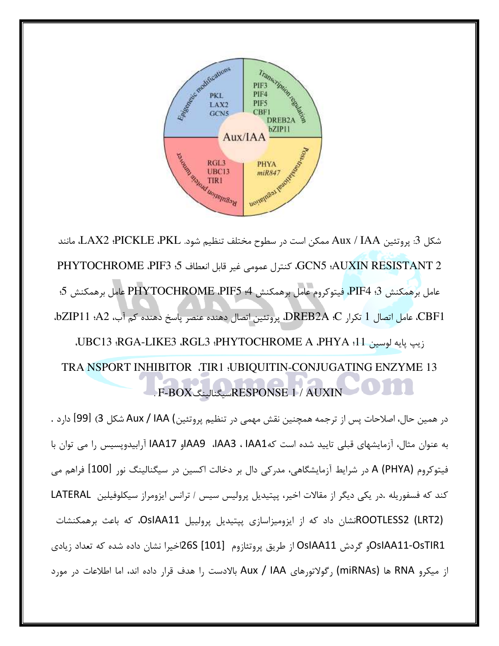

شكل 3: پروتئين Aux / IAA ممكن است در سطوح مختلف تنظيم شود. LAX2 ،PICKLE ،PKL، مانند GCN5 :AUXIN RESISTANT 2، كنترل عمومي غير قابل انعطاف 5: PHYTOCHROME .PIF3 عامل برهمكنش PIF4 .3، فيتوكروم عامل برهمكنش 4: PHYTOCHROME .PIF5 عامل برهمكنش 5: CBF1، عامل اتصال 1 تكرار DREB2A .C. پروتئين اتصال دهنده عنصر پاسخ دهنده كم آب، bZIP11 .A2، زيپ پايه لوسين VBC13 :RGA-LIKE3 .RGL3 :PHYTOCHROME A .PHYA :11. TRA NSPORT INHIBITOR .TIR1 :UBIQUITIN-CONJUGATING ENZYME 13 . F-BOX سيگنالينگ RESPONSE 1 / AUXIN

در همین حال، اصلاحات پس از ترجمه همچنین نقش مهمی در تنظیم پروتئین) Aux / IAA شکل 3) [99] دارد . به عنوان مثال، آزمایشهای قبلی تایید شده است کهIAA3، IAA3، PAA9او IAA17 آرابیدوپسیس را می توان با فيتوكروم A (PHYA) در شرايط آزمايشگاهي، مدركي دال بر دخالت اكسين در سيگنالينگ نور [100] فراهم مي كند كه فسفوريله .در يكي ديگر از مقالات اخير، پپتيديل پروليس سيس / ترانس ايزومراز سيكلوفيلين LATERAL (ROOTLESS2 (LRT2)نشان داد که از ایزومیزاسازی پپتیدیل پرولییل OsIAA11، که باعث برهمکنشات OsIAA11-OsTIR1و گردش OsIAA11 از طریق پروتئازوم [101] 26Sاخیرا نشان داده شده که تعداد زیادی از میکرو RNA ها (miRNAs) رگولاتورهای Aux / IAA بالادست را هدف قرار داده اند، اما اطلاعات در مورد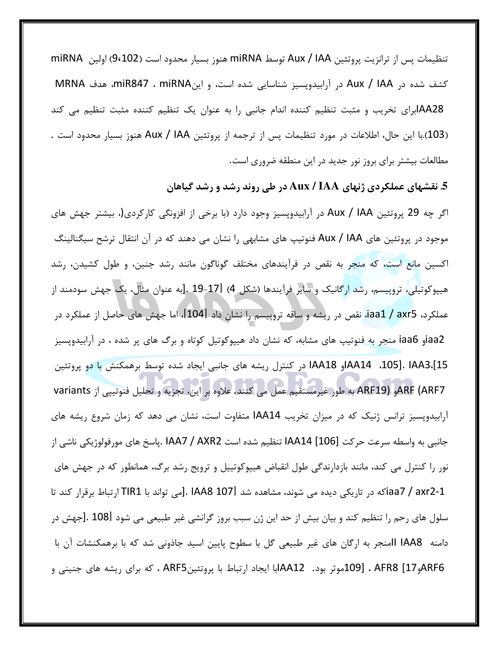تنظيمات يس از ترانزيت پروتئين Aux / IAA توسط miRNA هنوز بسيار محدود است (9،102) اولين miRNA كشف شده در Aux / IAA در آرابيدوپسيز شناسايي شده است، و اينmiR847 ، miRNA، هدف MRNA AA28ابرای تخریب و مثبت تنظیم کننده اندام جانبی را به عنوان یک تنظیم کننده مثبت تنظیم می کند (103).با این حال، اطلاعات در مورد تنظیمات پس از ترجمه از پروتئین Aux / IAA هنوز بسیار محدود است . مطالعات بیشتر برای بروز نور جدید در این منطقه ضروری است.

5. نقشهای عملکردی ژنهای Aux / IAA در طی روند رشد و رشد گیاهان

اگر چه 29 پروتئین Aux / IAA در آرابیدوپسیز وجود دارد (با برخی از افزونگی کارکردی(، بیشتر جهش های موجود در پروتئین های Aux / IAA فنوتیپ های مشابهی را نشان می دهند که در آن انتقال ترشح سیگنالینگ اکسین مانع است، که منجر به نقص در فرآیندهای مختلف گوناگون مانند رشد جنین، و طول کشیدن، رشد هیپوکوتیلی، تروپیسم، رشد ارگانیک و سایر فرآیندها (شکل 4) [17-19 .[به عنوان مثال، یک جهش سودمند از عملکرد، iaa1 / axr5، نقص در ریشه و ساقه تروپیسم را نشان داد [104]، اما جهش های حاصل از عملکرد در iaa2و iaa6 منجر به فنوتیپ های مشابه، که نشان داد هیپوکوتیل کوتاه و برگ های پر شده ، در آرابیدوپسیز 15].IAA3 .[15 . AA14او IAA18 در کنترل ریشه های جانبی ایجاد شده توسط برهمکنش با دو پروتئین ARF (ARF7و ARF19) به طور غیرمستقیم عمل می کنند. علاوه بر این، تجزیه و تحلیل فنوتیپی از variants آرابیدوپسیز ترانس ژنیک که در میزان تخریب IAA14 متفاوت است، نشان می دهد که زمان شروع ریشه های جانبي به واسطه سرعت حركت [106] IAA14 تنظيم شده است IAA7 / AXR2 .پاسخ هاي مورفولوژيكي ناشي از نور را کنترل می کند، مانند بازدارندگی طول انقباض هیپوکوتییل و ترویج رشد برگ، همانطور که در جهش های iaa7 / axr2-1) در تاریکی دیده می شوند، مشاهده شد [107 IAA8 .[می تواند با TIR1 ارتباط برقرار کند تا سلول های رحم را تنظیم کند و بیان بیش از حد این ژن سبب بروز گرانشی غیر طبیعی می شود [108 .[جهش در دامنه IAA8 اامنجر به ارگان های غیر طبیعی گل با سطوح پایین اسید جاذونی شد که با برهمکنشات آن با ARF6و17] AFR8 ، [109موثر بود. AA12ابا ايجاد ارتباط با پروتئينARF5 ، كه براي ريشه هاي جنيني و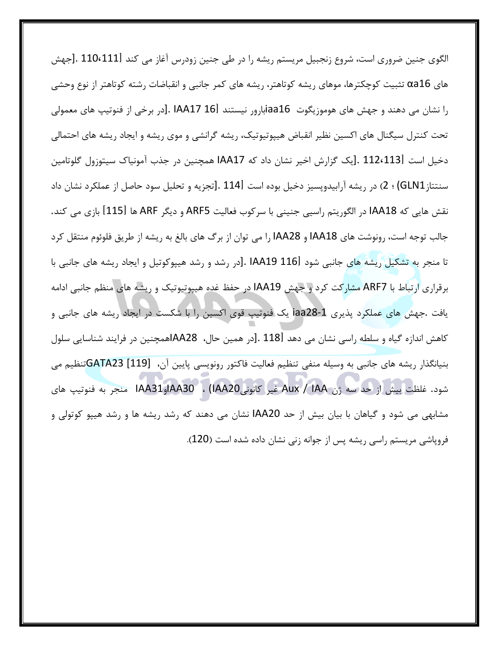الگوی جنین ضروری است، شروع زنجبیل مریستم ریشه را در طی جنین زودرس آغاز می کند [1110،111 .[جهش های αa16 تثبیت کوچکترها، موهای ریشه کوتاهتر، ریشه های کمر جانبی و انقباضات رشته کوتاهتر از نوع وحشی را نشان می دهند و جهش های هوموزیگوت iaa16بارور نیستند IAA17 16J. [در برخی از فنوتیپ های معمولی تحت کنترل سیگنال های اکسین نظیر انقباض هیپوتیوتیک، ریشه گرانشی و موی ریشه و ایجاد ریشه های احتمالی دخیل است [112،113 .[یک گزارش اخیر نشان داد که IAA17 همچنین در جذب آمونیاک سیتوزول گلوتامین سنتتاز GLN1) ؛ 2) در ريشه آرابيدوپسيز دخيل بوده است [114 .[تجزيه و تحليل سود حاصل از عملكرد نشان داد نقش هايي كه IAA18 در الگوريتم راسيي جنيني با سركوب فعاليت ARF5 و ديگر ARF ها [115] بازي مي كند. جالب توجه است، رونوشت های IAA18 و IAA28 را می توان از برگ های بالغ به ریشه از طریق فلوئوم منتقل کرد تا منجر به تشکیل ریشه های جانبی شود IAA19 116l .[در رشد و رشد هیپوکوتیل و ایجاد ریشه های جانبی با برقراری ارتباط با ARF7 مشارکت کرد و جهش IAA19 در حفظ غده هیپوتیوتیک و ریشه های منظم جانبی ادامه یافت .جهش های عملکرد پذیری iaa28-1 یک فنوتیپ قوی اکسین را با شکست در ایجاد ریشه های جانبی و كاهش اندازه گیاه و سلطه راسی نشان می دهد [118 .[در همین حال، AA28اهمچنین در فرایند شناسایی سلول بنیانگذار ریشه های جانبی به وسیله منفی تنظیم فعالیت فاکتور رونویسی پایین آن، [119] GATA23تنظیم می شود. غلظت بيش از حد سه ژن Aux / IAA غير كانونيIAA30 ، (IAA20وIAA31 منجر به فنوتيپ هاي مشابهی می شود و گیاهان با بیان بیش از حد IAA20 نشان می دهند که رشد ریشه ها و رشد هیپو کوتولی و فروپاشی مریستم راسی ریشه پس از جوانه زنی نشان داده شده است (120).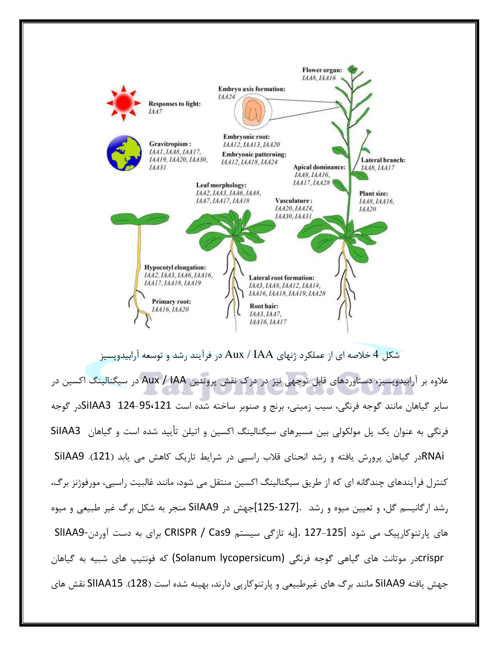

شکل 4 خلاصه ای از عملکرد ژنهای Aux / IAA در فرآیند رشد و توسعه آرابیدویسیز علاوه بر آرابیدویسیز، دستاوردهای قابل توجهی نیز در درک نقش پروتئین Aux / IAA در سیگنالینگ اکسین در سایر گیاهان مانند گوجه فرنگی، سیب زمینی، برنج و صنوبر ساخته شده است 95،121-954 SiIAA3در گوجه فرنگی به عنوان یک پل مولکولی بین مسیرهای سیگنالینگ اکسین و اتیلن تأیید شده است و گیاهان SiIAA3 RNAiدر گیاهان پرورش یافته و رشد انحنای قلاب راسیی در شرایط تاریک کاهش می یابد (121). SiIAA9 کنترل فرآیندهای چندگانه ای که از طریق سیگنالینگ اکسین منتقل می شود، مانند غالبیت راسیی، مورفوژنز برگ، رشد ارگانیسم گل، و تعیین میوه و رشد .[127-125]جهش در SiIAA9 منجر به شکل برگ غیر طبیعی و میوه های یارتنوکارییک می شود 1251-127 .[به تازگی سیستم CRISPR / Cas9 برای به دست آوردن-SIIAA9 crisprدر موتانت های گیاهی گوجه فرنگی (Solanum lycopersicum) که فونتیپ های شبیه به گیاهان جهش یافته SiIAA9 مانند برگ های غیرطبیعی و پارتنوکاریی دارند، بهینه شده است (128). SIIAA15 نقش های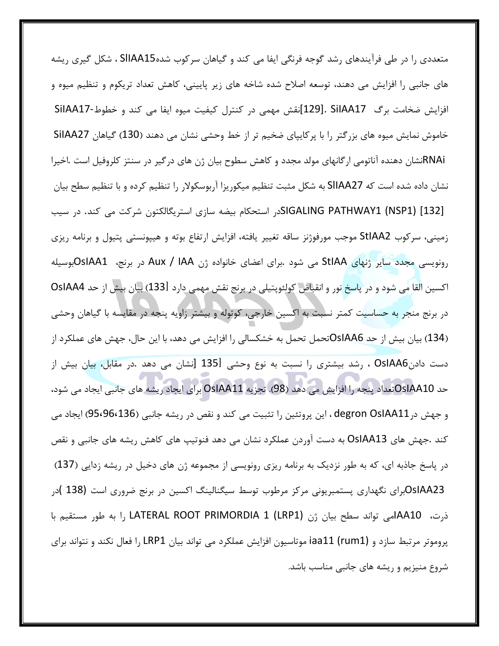متعددی را در طی فرآیندهای رشد گوجه فرنگی ایفا می کند و گیاهان سرکوب شدهSIIAA15 ، شکل گیری ریشه های جانبی را افزایش می دهند، توسعه اصلاح شده شاخه های زیر پایینی، کاهش تعداد تریکوم و تنظیم میوه و افزایش ضخامت برگ SilAA17 .[129]نقش مهمی در کنترل کیفیت میوه ایفا می کند و خطوط-SilAA17 خاموش نمایش میوه های بزرگتر را با پرکایپای ضخیم تر از خط وحشی نشان می دهند (130) گیاهان SiIAA27 RNAiشان دهنده آناتومی ارگانهای مولد مجدد و کاهش سطوح بیان ژن های درگیر در سنتز کلروفیل است .اخیرا نشان داده شده است که SIIAA27 به شکل مثبت تنظیم میکوریزا آربوسکولار را تنظیم کرده و با تنظیم سطح بیان [132] SIGALING PATHWAY1 (NSP1)(در استحکام بیضه سازی استریگالکتون شرکت می کند. در سیب زمینی، سرکوب StIAA2 موجب مورفوژنز ساقه تغییر یافته، افزایش ارتفاع بوته و هیپونستی پتیول و برنامه ریزی رونویسی مجدد سایر ژنهای StIAA می شود .برای اعضای خانواده ژن Aux / IAA در برنج، OsIAA1بوسیله اکسین القا می شود و در پاسخ نور و انقباض کولئوپتیلی در برنج نقش مهمی دارد [133) بیان بیش از حد OsIAA4 در برنج منجر به حساسیت کمتر نسبت به اکسین خارجی، کوتوله و بیشتر زاویه پنجه در مقایسه با گیاهان وحشی (134) بیان بیش از حد OsIAA6تحمل تحمل به خشکسالی را افزایش می دهد، با این حال، جهش های عملکرد از دست دادنOsIAA6 ، رشد بیشتری را نسبت به نوع وحشی [135 [نشان می دهد .در مقابل، بیان بیش از حد OsIAA10تعداد پنجه را افزایش می دهد (98). تجزیه OsIAA11 برای ایجاد ریشه های جانبی ایجاد می شود، و جهش در degron OsIAA11 ، این پروتئین را تثبیت می کند و نقص در ریشه جانبی (95،96،136) ایجاد می کند .جهش های OsIAA13 به دست آوردن عملکرد نشان می دهد فنوتیپ های کاهش ریشه های جانبی و نقص در پاسخ جاذبه ای، که به طور نزدیک به برنامه ریزی رونویسی از مجموعه ژن های دخیل در ریشه زدایی (137) .0sIAA23برای نگهداری پستمبریونی مرکز مرطوب توسط سیگنالینگ اکسین در برنج ضروری است (138 )در ذرت، AA10امی تواند سطح بیان ژن LATERAL ROOT PRIMORDIA 1 (LRP1) را به طور مستقیم با پروموتر مرتبط سازد و iaa11 (rum1) iaa11 موتاسیون افزایش عملکرد می تواند بیان LRP1 را فعال نکند و نتواند برای شروع منیزیم و ریشه های جانبی مناسب باشد.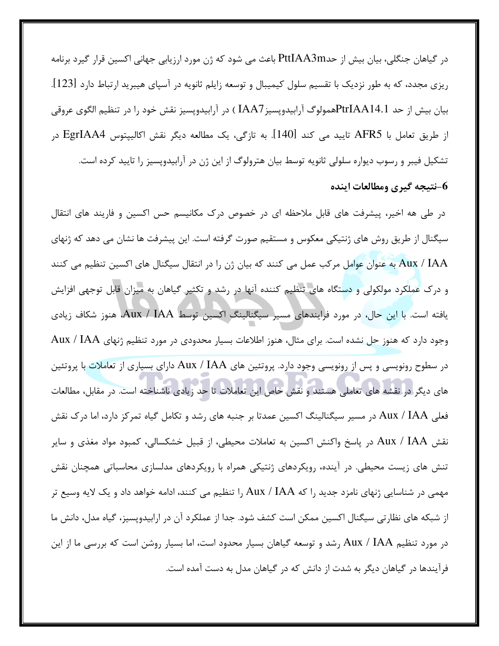در گیاهان جنگلی، بیان بیش از حدPttIAA3m باعث می شود که ژن مورد ارزیابی جهانی اکسین قرار گیرد برنامه ریزی مجدد، که به طور نزدیک با تقسیم سلول کیمیبال و توسعه زایلم ثانویه در آسپای هیبرید ارتباط دارد [123]. بيان بيش از حد PtrIAA14.1همولوگ آرابيدوپسيز IAA7 ) در آرابيدوپسيز نقش خود را در تنظيم الگوي عروقي از طريق تعامل با AFR5 تاييد مي كند [140]. به تازگي، يک مطالعه ديگر نقش اکاليپتوس EgrIAA4 در تشکیل فیبر و رسوب دیواره سلولی ثانویه توسط بیان هترولوگ از این ژن در آرابیدوپسیز را تایید کرده است. نتيجه گيري ومطالعات اينده-

در طی هه اخیر، پیشرفت های قابل ملاحظه ای در خصوص درک مکانیسم حس اکسین و فاریند های انتقال سیگنال از طریق روش های ژنتیکی معکوس و مستقیم صورت گرفته است. این پیشرفت ها نشان می دهد که ژنهای Aux / IAA به عنوان عوامل مركب عمل مي كنند كه بيان ژن را در انتقال سيگنال هاي اكسين تنظيم مي كنند و درک عملکرد مولکولی و دستگاه های تنظیم کننده آنها در رشد و تکثیر گیاهان به میزان قابل توجهی افزایش يافته است. با اين حال، در مورد فرايندهاي مسير سيگنالينگ اکسين توسط Aux / IAA، هنوز شکاف زيادي وجود دارد که هنوز حل نشده است. برای مثال، هنوز اطلاعات بسیار محدودی در مورد تنظیم ژنهای Aux / IAA در سطوح رونویسی و پس از رونویسی وجود دارد. پروتئین های Aux / IAA دارای بسیاری از تعاملات با پروتئین های دیگر در نقشه های تعاملی هستند و نقش خاص این تعاملات تا حد زیادی ناشناخته است. در مقابل، مطالعات فعلی Aux / IAA در مسیر سیگنالینگ اکسین عمدتا بر جنبه های رشد و تکامل گیاه تمرکز دارد، اما درک نقش نقش Aux / IAA در پاسخ واکنش اکسین به تعاملات محیطی، از قبیل خشکسالی، کمبود مواد مغذی و سایر تنش های زیست محیطی. در آینده، رویکردهای ژنتیکی همراه با رویکردهای مدلسازی محاسباتی همچنان نقش مهمی در شناسایی ژنهای نامزد جدید را که Aux / IAA را تنظیم می کنند، ادامه خواهد داد و یک لایه وسیع تر از شبکه های نظارتی سیگنال اکسین ممکن است کشف شود. جدا از عملکرد آن در ارابیدوپسیز، گیاه مدل، دانش ما در مورد تنظیم Aux / IAA رشد و توسعه گیاهان بسیار محدود است، اما بسیار روشن است که بررسی ما از این فرآیندها در گیاهان دیگر به شدت از دانش که در گیاهان مدل به دست آمده است.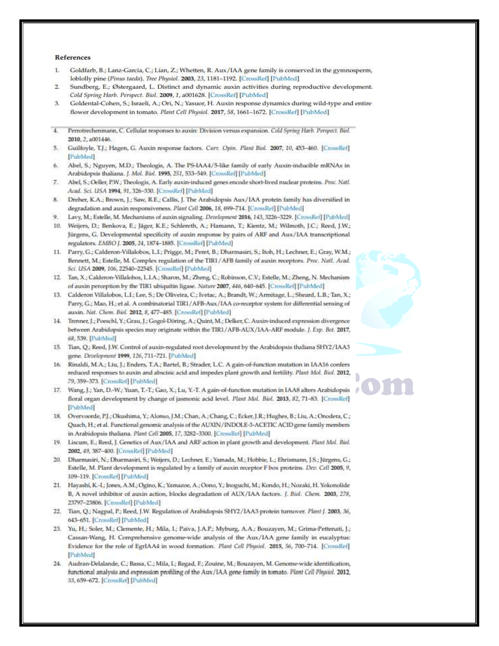## References

- Ť. Goldfarb, B.; Lanz-Garcia, C.; Lian, Z.; Whetten, R. Aux/IAA gene family is conserved in the gymnosperm, loblolly pine (Pinus taeda). Tree Physiol. 2003, 23, 1181-1192. [CrossRef] [PubMed]
- $\overline{2}$ Sundberg, E.; Østergaard, L. Distinct and dynamic auxin activities during reproductive development. Cold Spring Harb. Perspect. Biol. 2009, 1, a001628. [CrossRef] [PubMed]
- 3. Goldental-Cohen, S.; Israeli, A.; Ori, N.; Yasuor, H. Auxin response dynamics during wild-type and entire flower development in tomato. Plant Cell Physiol. 2017, 58, 1661-1672. [CrossRef] [PubMed]
- $\overline{4}$ Perrotrechertmann, C. Cellular responses to auxin: Division versus expansion. Cold Spring Harb. Perspect. Biol. 2010, 2, a001446.
- Guilfoyle, T.J.; Hagen, G. Auxin response factors. Curr. Opin. Plant Biol. 2007, 10, 453-460. [CrossRef] 5. [PubMed]
- Abel, S.; Nguyen, M.D.; Theologis, A. The PS-IAA4/5-like family of early Auxin-inducible mRNAs in 6. Arabidopsis thaliana. J. Mol. Biol. 1995, 251, 533-549. [CrossRef] [PubMed]
- $7.$ Abel, S.; Oeller, P.W.; Theologis, A. Early auxin-induced genes encode short-lived nuclear proteins. Proc. Natl. Acad. Sci. USA 1994, 91, 326-330. [CrossRef] [PubMed]
- 8. Dreher, K.A.; Brown, J.; Saw, R.E.; Callis, J. The Arabidopsis Aux/IAA protein family has diversified in degradation and auxin responsiveness. Plant Cell 2006, 18, 699-714. [CrossRef] [PubMed]
- Lavy, M.; Estelle, M. Mechanisms of auxin signaling. Development 2016, 143, 3226-3229. [CrossRef] [PubMed]
- 10. Weijers, D.; Benkova, E.; Jäger, K.E.; Schlereth, A.; Hamann, T.; Kientz, M.; Wilmoth, J.C.; Reed, J.W.; Jürgens, G. Developmental specificity of auxin response by pairs of ARF and Aux/IAA transcriptional regulators. EMBO J. 2005, 24, 1874-1885. [CrossRef] [PubMed]
- 11. Parry, G.; Calderon-Villalobos, L.I.; Prigge, M.; Peret, B.; Dharmasiri, S.; Itoh, H.; Lechner, E.; Gray, W.M.; Bennett, M.; Estelle, M. Complex regulation of the TIR1/AFB family of auxin receptors. Proc. Natl. Acad. Sci. USA 2009, 106, 22540-22545. [CrossRef] [PubMed]
- 12. Tan, X.; Calderon-Villalobos, L.I.A.; Sharon, M.; Zheng, C.; Robinson, C.V.; Estelle, M.; Zheng, N. Mechanism of auxin perception by the TIR1 ubiquitin ligase. Nature 2007, 446, 640-645. [CrossRef] [PubMed]
- 13. Calderon Villalobos, L.I.; Lee, S.; De Oliveira, C.; Ivetac, A.; Brandt, W.; Armitage, L.; Sheard, L.B.; Tan, X.; Parry, G.; Mao, H.; et al. A combinatorial TIR1/AFB-Aux/IAA co-receptor system for differential sensing of auxin. Nat. Chem. Biol. 2012, 8, 477-485. [CrossRef] [PubMed]
- 14. Trenner, J.; Poeschl, Y.; Grau, J.; Gogol-Döring, A.; Quint, M.; Delker, C. Auxin-induced expression divergence between Arabidopsis species may originate within the TIR1/AFB-AUX/IAA-ARF module. J. Exp. Bot. 2017, 68, 539. [PubMed]
- 15. Tian, Q.; Reed, J.W. Control of auxin-regulated root development by the Arabidopsis thaliana SHY2/IAA3 gene. Development 1999, 126, 711-721. [PubMed]
- 16. Rinaldi, M.A.; Liu, J.; Enders, T.A.; Bartel, B.; Strader, L.C. A gain-of-function mutation in IAA16 confers reduced responses to auxin and abscisic acid and impedes plant growth and fertility. Plant Mol. Biol. 2012, 79, 359-373. [CrossRef] [PubMed]
- 17. Wang, J.; Yan, D.-W.; Yuan, T.-T.; Gao, X.; Lu, Y.-T. A gain-of-function mutation in IAA8 alters Arabidopsis floral organ development by change of jasmonic acid level. Plant Mol. Biol. 2013, 82, 71-83. [CrossRef] [PubMed]
- 18. Overvoorde, P.J.; Okushima, Y.; Alonso, J.M.; Chan, A.; Chang, C.; Ecker, J.R.; Hughes, B.; Liu, A.; Onodera, C.; Quach, H.; et al. Functional genomic analysis of the AUXIN/INDOLE-3-ACETIC ACID gene family members in Arabidopsis thaliana. Plant Cell 2005, 17, 3282-3300. [CrossRef] [PubMed]
- 19. Liscum, E.; Reed, J. Genetics of Aux/IAA and ARF action in plant growth and development. Plant Mol. Binl. 2002, 49, 387-400. [CrossRef] [PubMed]
- 20. Dharmasiri, N.; Dharmasiri, S.; Weijers, D.; Lechner, E.; Yamada, M.; Hobbie, L.; Ehrismann, J.S.; Jürgens, G.; Estelle, M. Plant development is regulated by a family of auxin receptor F box proteins. Dev. Cell 2005, 9, 109-119. [CrossRef] [PubMed]
- 21. Hayashi, K.-L; Jones, A.M.; Ogino, K.; Yamazoe, A.; Oono, Y.; Inoguchi, M.; Kondo, H.; Nozaki, H. Yokonolide B, A novel inhibitor of auxin action, blocks degradation of AUX/IAA factors. J. Bisl. Chem. 2003, 278, 23797-23806. [CrossRef] [PubMed]
- 22. Tian, Q.; Nagpal, P.; Reed, J.W. Regulation of Arabidopsis SHY2/IAA3 protein turnover. Plant J. 2003, 36, 643-651. [CrossRef] [PubMed]
- 23. Yu, H.; Soler, M.; Clemente, H.; Mila, I.; Paiva, J.A.P.; Myburg, A.A.; Bouzayen, M.; Grima-Pettenati, J.; Cassan-Wang, H. Comprehensive genome-wide analysis of the Aux/IAA gene family in eucalyptus: Evidence for the role of EgrIAA4 in wood formation. Plant Cell Physiol. 2015, 56, 700-714. [CrossRef] [PubMed]
- 24. Audran-Delalande, C.; Bassa, C.; Mila, I.; Regad, F.; Zouine, M.; Bouzayen, M. Genome-wide identification, functional analysis and expression profiling of the Aux /IAA gene family in tomato. Plant Cell Physiol. 2012, 53, 659-672. [CrossRef] [PubMed]

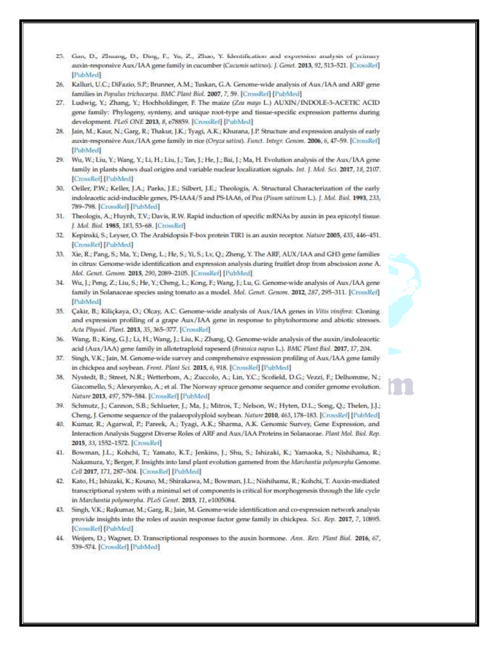- 25. Gan, D., Zhuang, D., Ding, F., Yu, Z., Zhao, Y. Identification and expression analysis of primary auxin-responsive Aux/IAA gene family in cucumber (Cucumis sativus). J. Genet. 2013, 92, 513-521. [CrossRef] [PubMed]
- 26. Kalluri, U.C.; DiFazio, S.P.; Brunner, A.M.; Tuskan, G.A. Genome-wide analysis of Aux/IAA and ARF gene families in Populus trichocarpa. BMC Plant Biol. 2007, 7, 59. [CrossRef] [PubMed]
- 27. Ludwig, Y.; Zhang, Y.; Hochholdinger, F. The maize (Zea mays L.) AUXIN/INDOLE-3-ACETIC ACID gene family: Phylogeny, synteny, and unique root-type and tissue-specific expression patterns during development. PLoS ONE 2013, 8, e78859. [CrossRef] [PubMed]
- 28. Jain, M.; Kaur, N.; Garg, R.; Thakur, J.K.; Tyagi, A.K.; Khurana, J.P. Structure and expression analysis of early auxin-responsive Aux/IAA gene family in rice (Oryza sativa). Funct. Integr. Genom. 2006, 6, 47-59. [CrossRef] [PubMed]
- 29. Wu, W.; Liu, Y.; Wang, Y.; Li, H.; Liu, J.; Tan, J.; He, J.; Bai, J.; Ma, H. Evolution analysis of the Aux/IAA gene family in plants shows dual origins and variable nuclear localization signals. Int. J. Mol. Sci. 2017, 18, 2107. [CrossRef] [PubMed]
- 30. Oeller, P.W.; Keller, J.A.; Parks, J.E.; Silbert, J.E.; Theologis, A. Structural Characterization of the early indoleacetic acid-inducible genes, PS-IAA4/5 and PS-IAA6, of Pea (Pisum satioum L.). J. Mol. Biol. 1993, 233, 789-798. [CrossRef] [PubMed]
- 31. Theologis, A.; Huynh, T.V.; Davis, R.W. Rapid induction of specific mRNAs by auxin in pea epicotyl tissue. J. Mol. Biol. 1985, 183, 53-68. [CrossRef]
- 32. Kepinski, S.; Leyser, O. The Arabidopsis F-box protein TIR1 is an auxin receptor. Nature 2005, 435, 446-451. [CrossRef] [PubMed]
- 33. Xie, R.; Pang, S.; Ma, Y.; Deng, L.; He, S.; Yi, S.; Lv, Q.; Zheng, Y. The ARF, AUX/IAA and GH3 gene families in citrus: Genome-wide identification and expression analysis during fruitlet drop from abscission zone A. Mol. Genet. Genom. 2015, 290, 2089-2105. [CrossRef] [PubMed].
- 34. Wu, J.; Peng, Z.; Liu, S.; He, Y.; Cheng, L.; Kong, F.; Wang, J.; Lu, G. Genome-wide analysis of Aux/IAA gene family in Solanaceae species using tomato as a model. Mol. Genet. Genom. 2012, 287, 295-311. [CrossRef] [PubMed]
- 35. Çakir, B.; Kiliçkaya, O.; Olcay, A.C. Genome-wide analysis of Aux/IAA genes in Vitis vinifera: Cloning and expression profiling of a grape Aux/IAA gene in response to phytohormone and abiotic stresses. Acta Physiol. Plant. 2013, 35, 365-377. [CrossRef]
- 36. Wang, B.; King, G.J.; Li, H.; Wang, J.; Liu, K.; Zhang, Q. Genome-wide analysis of the auxin/indoleacetic acid (Aux/IAA) gene family in allotetraploid rapeseed (Brassica napus L.). BMC Plant Biol. 2017, 17, 204.
- 37. Singh, V.K.; Jain, M. Genome-wide survey and comprehensive expression profiling of Aux/IAA gene family in chickpea and soybean. Front. Plant Sci. 2015, 6, 918. [CrossRef] [PubMed]
- 38. Nystedt, B.; Street, N.R.; Wetterbom, A.; Zuccolo, A.; Lin, Y.C.; Scofield, D.G.; Vezzi, F.; Delhomme, N.; Giacomello, S.; Alexeyenko, A.; et al. The Norway spruce genome sequence and conifer genome evolution. Nature 2013, 497, 579-584. [CrossRet] [PubMed]
- 39. Schmutz, J.; Cannon, S.B.; Schlueter, J.; Ma, J.; Mitros, T.; Nelson, W.; Hyten, D.L.; Song, Q.; Thelen, J.J.; Cheng, J. Genome sequence of the palaeopolyploid soybean. Nature 2010, 463, 178-183. [CrossRef] [PubMed]
- 40. Kumar, R.; Agarwal, P.; Pareek, A.; Tyagi, A.K.; Sharma, A.K. Genomic Survey, Gene Expression, and Interaction Analysis Suggest Diverse Roles of ARF and Aux/IAA Proteins in Solanaceae. Plant Mol. Biol. Rep. 2015, 33, 1552-1572. [CrossRef]
- 41. Bowman, J.L.; Kohchi, T.; Yamato, K.T.; Jenkins, J.; Shu, S.; Ishizaki, K.; Yamaoka, S.; Nishihama, R.; Nakamura, Y.; Berger, F. Insights into land plant evolution garnered from the Marchantia polymorpha Genome. Cell 2017, 171, 287-304. [CrossRef] [PubMed]
- 42. Kato, H.; Ishizaki, K.; Kouno, M.; Shirakawa, M.; Bowman, J.L.; Nishihama, R.; Kohchi, T. Auxin-mediated transcriptional system with a minimal set of components is critical for morphogenesis through the life cycle in Marchantia polymorpha. PLoS Genet. 2015, 11, e1005084.
- 43. Singh, V.K.; Rajkumar, M.; Garg, R.; Jain, M. Genome-wide identification and co-expression network analysis provide insights into the roles of auxin response factor gene family in chickpea. Sci. Rep. 2017, 7, 10895. [CrossRef] [PubMed]
- 44. Weijers, D.; Wagner, D. Transcriptional responses to the auxin hormone. Ann. Rev. Plant Biol. 2016, 67, 539-574. [CrossRef] [PubMed]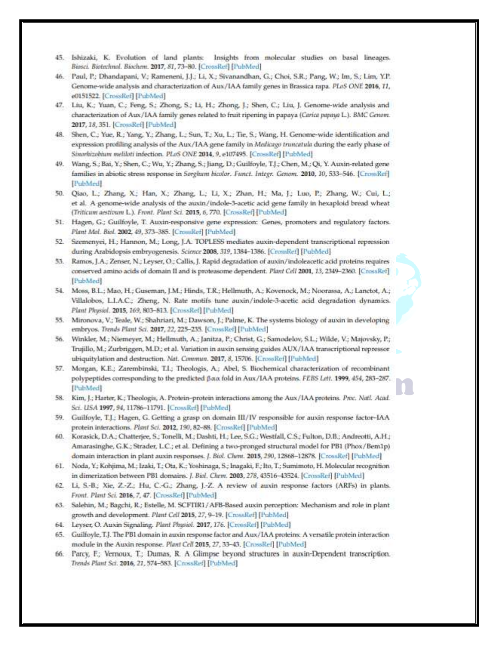- 45. Ishizaki, K. Evolution of land plants: Insights from molecular studies on basal lineages. Binsci. Biotechnol. Biochem. 2017, 81, 73-80. [CrossRef] [PubMed]
- 46. Paul, P.; Dhandapani, V.; Rameneni, J.J.; Li, X.; Sivanandhan, G.; Choi, S.R.; Pang, W.; Im, S.; Lim, Y.P. Genome-wide analysis and characterization of Aux/IAA family genes in Brassica rapa. PLoS ONE 2016, 11, e0151522. [CrossRef] [PubMed]
- 47. Liu, K.; Yuan, C.; Feng, S.; Zhong, S.; Li, H.; Zhong, J.; Shen, C.; Liu, J. Genome-wide analysis and characterization of Aux/IAA family genes related to fruit ripening in papaya (Carica papaya L.). BMC Genom. 2017, 18, 351. [CrossRef] [PubMed]
- 48. Shen, C.; Yue, R.; Yang, Y.; Zhang, L.; Sun, T.; Xu, L.; Tie, S.; Wang, H. Genome-wide identification and expression profiling analysis of the Aux/IAA gene family in Malicago truncatula during the early phase of Sinorhizobium meliloti infection. PLoS ONE 2014, 9, e107495. [CrossRef] [PubMed]
- 49. Wang, S.; Bai, Y.; Shen, C.; Wu, Y.; Zhang, S.; Jiang, D.; Guilfoyle, T.J.; Chen, M.; Qi, Y. Auxin-related gene families in abiotic stress response in Sorghum bicolor. Funct. Integr. Genom. 2010, 10, 533-546. [CrossRef] [PubMed]
- 50. Qiao, L.; Zhang, X.; Han, X.; Zhang, L.; Li, X.; Zhan, H.; Ma, J.; Luo, P.; Zhang, W.; Cui, L.; et al. A genome-wide analysis of the auxin/indole-3-acetic acid gene family in hexaploid bread wheat (Triticum aestivum L.). Front. Plant Sci. 2015, 6, 770. [CrossRef] [PubMed]
- 51. Hagen, G.; Guilfoyle, T. Auxin-responsive gene expression: Genes, promoters and regulatory factors. Plant Mal. Biol. 2002, 49, 373-385. [CrossRef] [PubMed].
- 52. Szemenyei, H.; Hannon, M.; Long, J.A. TOPLESS mediates auxin-dependent transcriptional repression during Arabidopsis embryogenesis. Science 2008, 319, 1384-1386. [CrossRef] [PubMed]
- 53. Ramos, J.A.; Zenser, N.; Leyser, O.; Callis, J. Rapid degradation of auxin/indoleacetic acid proteins requires conserved amino acids of domain II and is proteasome dependent. Plant Cell 2001, 13, 2349-2360. [CrossRef] [PubMed]
- 54. Moss, B.L.; Mao, H.; Guseman, J.M.; Hinds, T.R.; Hellmuth, A.; Kovenock, M.; Noorassa, A.; Lanctot, A.; Villalobos, L.I.A.C.; Zheng, N. Rate motifs tune auxin/indole-3-acetic acid degradation dynamics. Plant Physiol. 2015, 169, 803-813. [CrossRef] [PubMed]
- 55. Mironova, V.; Teale, W.; Shahriari, M.; Dawson, J.; Palme, K. The systems biology of auxin in developing embryos. Trends Plant Sci. 2017, 22, 225-235. [CrossRef] [PubMed]
- 56. Winkler, M.; Niemeyer, M.; Hellmuth, A.; Janitza, P.; Christ, G.; Samodelov, S.L.; Wilde, V.; Majovsky, P.; Trujillo, M.; Zurbriggen, M.D.; et al. Variation in auxin sensing guides AUX/IAA transcriptional repressor ubiquitylation and destruction. Nat. Commun. 2017, 8, 15706. [CrossRef] [PubMed]
- 57. Morgan, K.E.; Zarembinski, T.I.; Theologis, A.; Abel, S. Biochemical characterization of recombinant polypeptides corresponding to the predicted βαα fold in Aux/IAA proteins. FEBS Lett. 1999, 454, 283-287. [PubMed]
- 58. Kim, J.; Harter, K.; Theologis, A. Protein-protein interactions among the Aux/IAA proteins. Proc. Natl. Acad. Sci. USA 1997, 94, 11786-11791. [CrossRef] [PubMed]
- 59. Guilfoyle, T.J.; Hagen, G. Getting a grasp on domain III/IV responsible for auxin response factor-IAA protein interactions. Plant Sci. 2012, 190, 82-88. [CrossRef] [FubMed]
- 60. Korasick, D.A.; Chatterjee, S.; Tonelli, M.; Dashti, H.; Lee, S.G.; Westfall, C.S.; Fulton, D.B.; Andreotti, A.H.; Amarasinghe, G.K.; Strader, L.C.; et al. Defining a two-pronged structural model for PB1 (Phox/Bem1p) domain interaction in plant auxin responses. J. Biol. Chem. 2015, 290, 12868-12878. [CrossRef] [PubMed]
- 61. Noda, Y.; Kohjima, M.; Izaki, T.; Ota, K.; Yoshinaga, S.; Inagaki, F.; Ito, T.; Sumimoto, H. Molecular recognition in dimerization between PB1 domains. J. Biol. Chrm. 2003, 278, 43516-43524. [CrossRef] [PubMed]
- 62. Li, S.-B.; Xie, Z.-Z.; Hu, C.-G.; Zhang, J.-Z. A review of auxin response factors (ARFs) in plants. Front. Plant Sci. 2016, 7, 47. [CrossRef] [PubMed].
- 63. Salehin, M.; Bagchi, R.; Estelle, M. SCFTIR1/AFB-Based auxin perception: Mechanism and role in plant growth and development. Plant Cell 2015, 27, 9-19. [CrossRef] [PubMed]
- 64. Leyser, O. Auxin Signaling. Plant Physiol. 2017, 176. [CrossRef] [PubMed]
- 65. Guilfoyle, T.J. The PB1 domain in auxin response factor and Aux/IAA proteins: A versatile protein interaction module in the Auxin response. Plant Cell 2015, 27, 33-43. [CrossRef] [PubMed]
- 66. Parcy, F.; Vernoux, T.; Dumas, R. A Glimpse beyond structures in auxin-Dependent transcription. Trends Plant Sci. 2016, 21, 574-583. [CrossRef] [PubMed]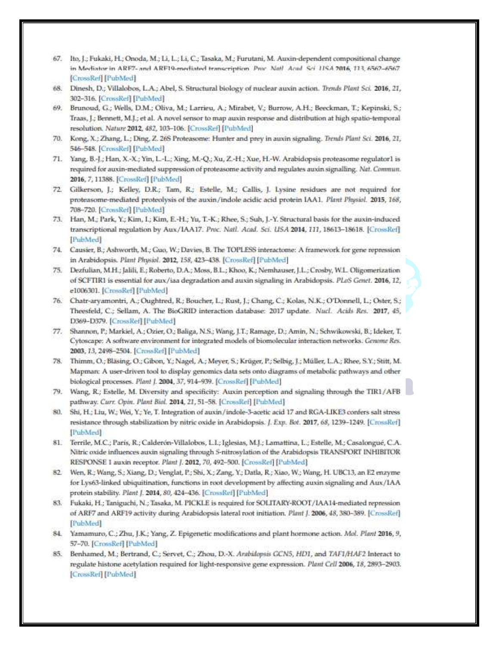- 67. Ito, J.; Fukaki, H.; Onoda, M.; Li, L.; Li, C.; Tasaka, M.; Furutani, M. Auxin-dependent compositional change in Mediator in ARF7- and ARF19-mediated transcription. Proc. Natl. Acad. Sci. 11SA 2016, 113, 6562-6567. [CrossRef] [PubMed]
- 68. Dinesh, D.; Villalobos, L.A.; Abel, S. Structural biology of nuclear auxin action. Trends Plant Sci. 2016, 21, 302-316. [CrossRef] [PubMed]
- 69. Brunoud, G.; Wells, D.M.; Oliva, M.; Larrieu, A.; Mirabet, V.; Burrow, A.H.; Beeckman, T.; Kepinski, S.; Traas, J.; Bennett, M.J.; et al. A novel sensor to map auxin response and distribution at high spatio-temporal resolution. Nature 2012, 482, 103-106: [CrossRef] [PubMed]
- 70. Kong, X.; Zhang, L.; Ding, Z. 26S Proteasome: Hunter and prey in auxin signaling. Trends Plant Sci. 2016, 21, 546-548. [CrossRef] [PubMed]
- 71. Yang, B.-J.; Han, X.-X.; Yin, L.-L.; Xing, M.-Q.; Xu, Z.-H.; Xue, H.-W. Arabidopsis proteasome regulator1 is required for auxin-mediated suppression of proteasome activity and regulates auxin signalling. Nat. Commun. 2016, 7, 11388. [CrossRef] [PubMed]
- 72. Gilkerson, J.; Kelley, D.R.; Tam, R.; Estelle, M.; Callis, J. Lysine residues are not required for proteasome-mediated proteolysis of the auxin/indole acidic acid protein IAA1. Plant Physiol. 2015, 168, 708-720. [CrossRef] [PubMed]
- 73. Han, M.; Park, Y.; Kim, I.; Kim, E.-H.; Yu, T.-K.; Rhee, S.; Suh, J.-Y. Structural basis for the auxin-induced transcriptional regulation by Aux/IAA17. Proc. Natl. Acad. Sci. USA 2014, 111, 18613-18618. [CrossRef] [PubMed]
- 74. Causier, B.; Ashworth, M.; Guo, W.; Davies, B. The TOPLESS interactome: A framework for gene repression in Arabidopsis. Plant Physiol. 2012, 158, 423-438. [CrossRef] [PubMed]
- 75. Dezfulian, M.H.; Jalili, E.; Roberto, D.A.; Moss, B.L.; Khoo, K.; Nemhauser, J.L.; Crosby, W.L. Oligomerization of SCFTIR1 is essential for aux/iaa degradation and auxin signaling in Arabidopsis. PLoS Genet. 2016, 12, e1006301. [CrossRef] [PubMed]
- 76. Chatr-aryamontri, A.; Oughtred, R.; Boucher, L.; Rust, J.; Chang, C.; Kolas, N.K.; O'Donnell, L.; Oster, S.; Theesfeld, C.; Sellam, A. The BioGRID interaction database: 2017 update. Nucl. Acids Res. 2017, 45, D369-D379. [CrossRef] [PubMed]
- 77. Shannon, P.; Markiel, A.; Ozier, O.; Baliga, N.S.; Wang, J.T.; Ramage, D.; Amin, N.; Schwikowski, B.; Ideker, T. Cytoscape: A software environment for integrated models of biomolecular interaction networks. Genome Res. 2003, 13, 2498-2504. [CrossRef] [PubMed]
- 78. Thimm, O.; Bläsing, O.; Gibon, Y.; Nagel, A.; Meyer, S.; Krüger, P.; Selbig, J.; Müller, L.A.; Rhee, S.Y.; Stitt, M. Mapman: A user-driven tool to display genomics data sets onto diagrams of metabolic pathways and other biological processes. Plant J. 2004, 37, 914-939. [CrossRef] [PubMed]
- 79. Wang, R.; Estelle, M. Diversity and specificity: Auxin perception and signaling through the TIR1/AFB pathway. Curr. Opin. Plant Biol. 2014, 21, 51-58. [CrossRef] [PubMed]
- 80. Shi, H.; Liu, W.; Wei, Y.; Ye, T. Integration of auxin/indole-3-acetic acid 17 and RGA-LIKE3 confers salt stress resistance through stabilization by nitric oxide in Arabidopsis. J. Exp. Bot. 2017, 68, 1239-1249. [CrossRef] [PubMed]
- 81. Terrile, M.C.; Paris, R.; Calderón-Villalobos, L.I.; Iglesias, M.J.; Lamattina, L.; Estelle, M.; Casalongué, C.A. Nitric oxide influences auxin signaling through 5-nitrosylation of the Arabidopsis TRANSPORT INHIBITOR RESPONSE 1 auxin receptor. Plant J. 2012, 70, 492-500. [CrossRef] [PubMed]
- 82. Wen, R.; Wang, S.; Xiang, D.; Venglat, P.; Shi, X.; Zang, Y.; Datla, R.; Xiao, W.; Wang, H. UBC13, an E2 enzyme for Lys63-linked ubiquitination, functions in root development by affecting auxin signaling and Aux/IAA protein stability. Plant J. 2014, 80, 424-436. [CronsRef] [PubMed]
- 83. Fukaki, H.; Taniguchi, N.; Tasaka, M. PICKLE is required for SOLITARY-ROOT/IAA14-mediated repression of ARF7 and ARF19 activity during Arabidopsis lateral root initiation. Plant J. 2006, 48, 380-389. [CrossRef] [PubMed]
- 84. Yamamuro, C.; Zhu, J.K.; Yang, Z. Epigenetic modifications and plant hormone action. Mol. Plant 2016, 9, 57-70. [CrossRef] [PubMed]
- 85. Benhamed, M.; Bertrand, C.; Servet, C.; Zhou, D.-X. Arabilopsis GCN5, HD1, and TAF1/HAF2 Interact to regulate histone acetylation required for light-responsive gene expression. Plant Cell 2006, 18, 2893-2903. [CrossRef] [PubMed]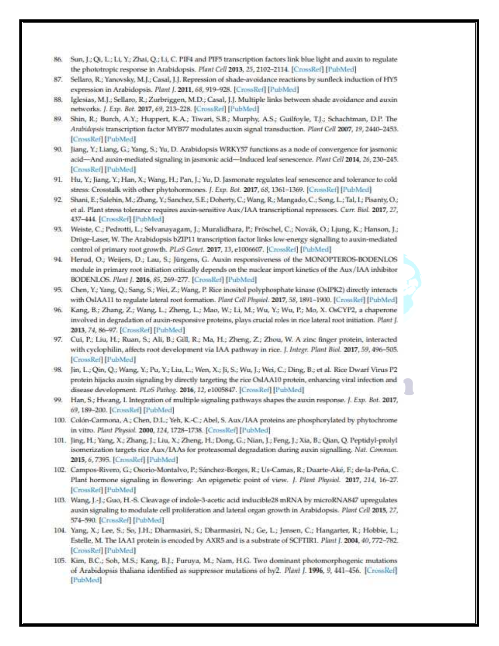- Sun, J.; Qi, L.; Li, Y.; Zhai, Q.; Li, C. PIF4 and PIF5 transcription factors link blue light and auxin to regulate 86. the phototropic response in Arabidopsis. Plant Cell 2013, 25, 2102-2114. [CrossRef] [PubMed]
- Sellaro, R.; Yanovsky, M.J.; Casal, J.J. Repression of shade-avoidance reactions by sunfleck induction of HY5 87. expression in Arabidopsis. Plant J. 2011, 68, 919-928. [CrossRef] [PubMed]
- Iglesias, M.J.; Sellaro, R.; Zurbriggen, M.D.; Casal, J.J. Multiple links between shade avoidance and auxin 88. networks. J. Exp. Bot. 2017, 69, 213-228. [CrossRef] [PubMed]
- 89. Shin, R.; Burch, A.Y.; Huppert, K.A.; Tiwari, S.B.; Murphy, A.S.; Guilfoyle, T.J.; Schachtman, D.P. The Arabidopsis transcription factor MYB77 modulates auxin signal transduction. Plant Cell 2007, 19, 2440-2453. [CrossRef] [PubMed]
- 90. Jiang, Y.; Liang, G.; Yang, S.; Yu, D. Arabidopsis WRKY57 functions as a node of convergence for jasmonic acid-And auxin-mediated signaling in jasmonic acid-Induced leaf senescence. Plant Cell 2014, 26, 230-245. [CrossRef] [PubMed]
- 91. Hu, Y.; Jiang, Y.; Han, X.; Wang, H.; Pan, J.; Yu, D. Jasmonate regulates leaf senescence and tolerance to cold stress: Crosstalk with other phytohormones. J. Exp. Bot. 2017, 68, 1361-1369. [CrossRef] [PubMed]
- 92. Shani, E.; Salehin, M.; Zhang, Y.; Sanchez, S.E.; Doherty, C.; Wang, R.; Mangado, C.; Song, L.; Tal, L; Pisanty, O.; et al. Plant stress tolerance requires auxin-sensitive Aux/IAA transcriptional repressors. Curr. Biol. 2017, 27, 437-444. [CrossRef] [PubMed]
- 93. Weiste, C.; Pedrotti, L.; Selvanayagam, J.; Muralidhara, P.; Fröschel, C.; Novák, O.; Ljung, K.; Hanson, J.; Dröge-Laser, W. The Arabidopsis bZIP11 transcription factor links low-energy signalling to auxin-mediated control of primary root growth. PLoS Genet. 2017, 13, e1006607. [CrossRef] [PubMed]
- 94. Herud, O.; Weijers, D.; Lau, S.; Jürgens, G. Auxin responsiveness of the MONOPTEROS-BODENLOS module in primary root initiation critically depends on the nuclear import kinetics of the Aux/IAA inhibitor BODENLOS. Plant J. 2016, 85, 269-277. [CrossRef] [PubMed]
- 95. Chen, Y.; Yang, Q.; Sang, S.; Wei, Z.; Wang, P. Rice inositol polyphosphate kinase (OsIPK2) directly interacts with OsIAA11 to regulate lateral root formation. Plant Cell Physiol. 2017, 58, 1891-1900. [CrossRef] [PubMed]
- 96. Kang, B.; Zhang, Z.; Wang, L.; Zheng, L.; Mao, W.; Li, M.; Wu, Y.; Wu, P.; Mo, X. OsCYP2, a chaperone involved in degradation of auxin-responsive proteins, plays crucial roles in rice lateral root initiation. Plant J. 2013, 74, 86-97. [CrossRef] [PubMed]
- 97. Cui, P.; Liu, H.; Ruan, S.; Ali, B.; Gill, R.; Ma, H.; Zheng, Z.; Zhou, W. A zinc finger protein, interacted with cyclophilin, affects root development via IAA pathway in rice. J. Integr. Plant Biol. 2017, 59, 496-505. [CrossRef] [PubMed]
- 98. Jin, L.; Qin, Q.; Wang, Y.; Pu, Y.; Liu, L.; Wen, X.; Ji, S.; Wu, J.; Wei, C.; Ding, B.; et al. Rice Dwarf Virus P2 protein hijacks auxin signaling by directly targeting the rice OslAA10 protein, enhancing viral infection and disease development. PLoS Pathog. 2016, 12, e1005847. [CrossRef] [PubMed]
- 99. Han, S.; Hwang, I. Integration of multiple signaling pathways shapes the auxin response. J. Exp. Bot. 2017, 69, 189-200. [CrossRef] [PubMed]
- 100. Colón-Carmona, A.; Chen, D.L.; Yeh, K.-C.; Abel, S. Aux/IAA proteins are phosphorylated by phytochrome in vitro. Plant Physiol. 2000, 124, 1728-1738. [CrossRef] [PubMed]
- 101. Jing, H.; Yang, X.; Zhang, J.; Liu, X.; Zheng, H.; Dong, G.; Nian, J.; Feng, J.; Xia, B.; Qian, Q. Peptidyl-prolyl isomerization targets rice Aux/IAAs for proteasomal degradation during auxin signalling. Nat. Commun. 2015, 6, 7395. [CrossRef] [PubMed]
- 102. Campos-Rivero, G.; Osorio-Montalvo, P.; Sánchez-Borges, R.; Us-Camas, R.; Duarte-Aké, F.; de-la-Peña, C. Plant hormone signaling in flowering: An epigenetic point of view. J. Plant Physiol. 2017, 214, 16-27. [CrossRef] [PubMed]
- 103. Wang, J.-J.; Guo, H.-S. Cleavage of indole-3-acetic acid inducible28 mRNA by microRNA847 upregulates auxin signaling to modulate cell proliferation and lateral organ growth in Arabidopsis. Plant Cell 2015, 27, 574-590. [CrossRef] [PubMed]
- 104. Yang, X.; Lee, S.; So, J.H.; Dharmasiri, S.; Dharmasiri, N.; Ge, L.; Jensen, C.; Hangarter, R.; Hobbie, L.; Estelle, M. The IAA1 protein is encoded by AXR5 and is a substrate of SCFTIR1. Plant J. 2004, 40, 772-782. [CrossRef] [PubMed]
- 105. Kim, B.C.; Soh, M.S.; Kang, B.J.; Furuya, M.; Nam, H.G. Two dominant photomorphogenic mutations of Arabidopsis thaliana identified as suppressor mutations of hy2. Plant J. 1996, 9, 441-456. [CrossRef] [PubMed]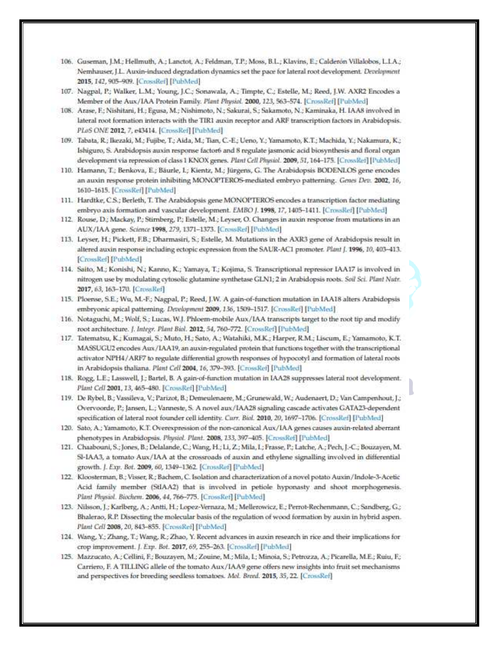- 106. Guseman, J.M.; Hellmuth, A.; Lanctot, A.; Feldman, T.P.; Moss, B.L.; Klavins, E.; Calderón Villalobos, L.I.A.; Nemhauser, J.L. Auxin-induced degradation dynamics set the pace for lateral root development. Development 2015, 142, 905-909. [CrossRef] [PubMed]
- 107. Nagpal, P.; Walker, L.M.; Young, J.C.; Sonawala, A.; Timpte, C.; Estelle, M.; Reed, J.W. AXR2 Encodes a Member of the Aux/IAA Protein Family. Plant Physiol. 2000, 123, 563-574. [CrossRef] [PubMed]
- 108. Arase, F.; Nishitani, H.; Egusa, M.; Nishimoto, N.; Sakurai, S.; Sakamoto, N.; Kaminaka, H. IAA8 involved in lateral root formation interacts with the TIR1 auxin receptor and ARF transcription factors in Arabidopsis. PLoS ONE 2012, 7, e43414. [CrossRef] [PubMed]
- 109. Tabata, R.; Ikezaki, M.; Fujibe, T.; Aida, M.; Tian, C.-E.; Ueno, Y.; Yamamoto, K.T.; Machida, Y.; Nakamura, K.; Ishiguro, S. Arabidopsis auxin response factor6 and 8 regulate jasmonic acid biosynthesis and floral organ development via repression of class 1 KNOX genes. Plant Cell Physiol. 2009, 51, 164-175. [CrossRef] [PubMed]
- 110. Hamann, T.; Benkova, E.; Bäurle, I.; Kientz, M.; Jürgens, G. The Arabidopsis BODENLOS gene encodes an auxin response protein inhibiting MONOPTEROS-mediated embryo patterning. Genes Dev. 2002, 16, 1610-1615. [CrossRef] [PubMed]
- 111. Hardtke, C.S.; Berleth, T. The Arabidopsis gene MONOPTEROS encodes a transcription factor mediating embryo axis formation and vascular development. EMBO J. 1998, 17, 1405-1411. [CrossRef] [PubMed]
- 112. Rouse, D.; Mackay, P.; Stirnberg, P.; Estelle, M.; Leyser, O. Changes in auxin response from mutations in an AUX/IAA gene. Science 1998, 279, 1371-1373. [CrossRef] [PubMed]
- 113. Leyser, H.; Pickett, F.B.; Dharmasiri, S.; Estelle, M. Mutations in the AXR3 gene of Arabidopsis result in altered auxin response including ectopic expression from the SAUR-AC1 promoter. Plant J. 1996, 10, 403-413. [CrossRef] [PubMed]
- 114. Saito, M.; Konishi, N.; Kanno, K.; Yamaya, T.; Kojima, S. Transcriptional repressor IAA17 is involved in nitrogen use by modulating cytosolic glutamine synthetase GLN1; 2 in Arabidopsis roots. Soil Sci. Plant Nutr. 2017, 63, 163-170. [CrossRef]
- 115. Ploense, S.E.; Wu, M.-F.; Nagpal, P.; Reed, J.W. A gain-of-function mutation in IAA18 alters Arabidopsis embryonic apical patterning. Development 2009, 136, 1509-1517. [CrossRef] [PubMed]
- 116. Notaguchi, M.; Wolf, S.; Lucas, W.J. Phloem-mobile Aux/IAA transcripts target to the root tip and modify root architecture. J. Integr. Plant Biol. 2012, 54, 760-772. [CrossRef] [PubMed]
- 117. Tatematsu, K.; Kumagai, S.; Muto, H.; Sato, A.; Watahiki, M.K.; Harper, R.M.; Liscum, E.; Yamamoto, K.T. MASSUGU2 encodes Aux/IAA19, an auxin-regulated protein that functions together with the transcriptional activator NPH4/ARF7 to regulate differential growth responses of hypocotyl and formation of lateral roots in Arabidopsis thaliana. Plant Cell 2004, 16, 379-393. [CrossRef] [PubMed]
- 118. Rogg, L.E.; Lasswell, J.; Bartel, B. A gain-of-function mutation in IAA28 suppresses lateral root development. Plant Cell 2001, 13, 465-480. [CrossRef] [PubMed]
- 119. De Rybel, B.; Vassileva, V.; Parizot, B.; Demeulenaere, M.; Grunewald, W.; Audenaert, D.; Van Campenhout, J.; Overvoorde, P.; Jansen, L.; Vanneste, S. A novel aux/IAA28 signaling cascade activates GATA23-dependent specification of lateral root founder cell identity. Curr. Biol. 2010, 20, 1697-1706. [CrossRef] [PubMed]
- 120. Sato, A.; Yamamoto, K.T. Overexpression of the non-canonical Aux/IAA genes causes auxin-related aberrant phenotypes in Arabidopsis. Physiol. Plant. 2008, 133, 397-405. [CrossRef] [PubMed]
- 121. Chaabouni, S.; Jones, B.; Delalande, C.; Wang, H.; Li, Z.; Mila, I.; Frasse, P.; Latche, A.; Pech, J.-C.; Bouzayen, M. SI-IAA3, a tomato Aux/IAA at the crossroads of auxin and ethylene signalling involved in differential growth. J. Exp. Bot. 2009, 60, 1349-1362. [CrossRef] [PubMed].
- 122. Kloosterman, B.; Visser, R.; Bachem, C. Isolation and characterization of a novel potato Auxin/Indole-3-Acetic Acid family member (StIAA2) that is involved in petiole hyponasty and shoot morphogenesis. Plant Physiol. Biochem. 2006, 44, 766-775. [CrossRef] [PubMed]
- 123. Nilsson, J.; Karlberg, A.; Antti, H.; Lopez-Vernaza, M.; Mellerowicz, E.; Perrot-Rechenmann, C.; Sandberg, G.; Bhalerao, R.P. Dissecting the molecular basis of the regulation of wood formation by auxin in hybrid aspen. Plant Cell 2008, 20, 843-855. [CrossRef] [PubMed]
- 124. Wang, Y.; Zhang, T.; Wang, R.; Zhao, Y. Recent advances in auxin research in rice and their implications for crop improvement. J. Exp. Bot. 2017, 69, 255-263. [CrossRef] [PubMed]
- 125. Mazzucato, A.; Cellini, F.; Bouzayen, M.; Zouine, M.; Mila, I.; Minoia, S.; Petrozza, A.; Picarella, M.E.; Ruiu, F.; Carriero, F. A TILLING allele of the tomato Aux/IAA9 gene offers new insights into fruit set mechanisms and perspectives for breeding seedless tomatoes. Mol. Breed. 2015, 35, 22. [CrossRef]